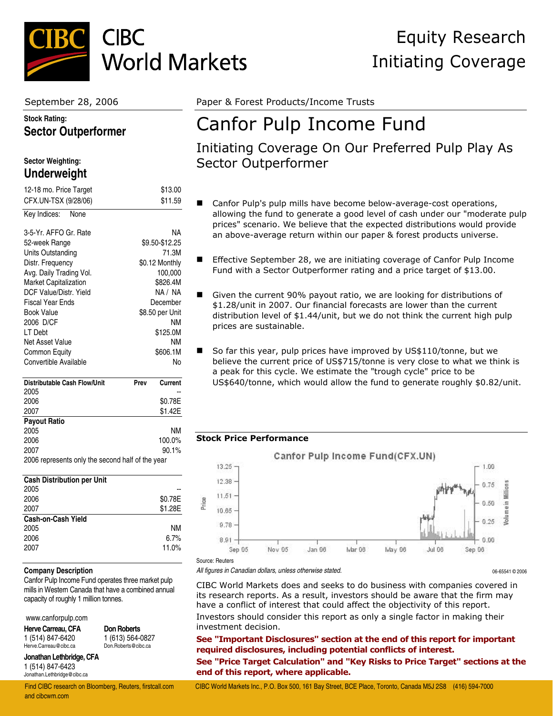

### **Stock Rating: Sector Outperformer**

### **Sector Weighting: Underweight**

| 12-18 mo. Price Target                           |      | \$13.00         |
|--------------------------------------------------|------|-----------------|
| CFX.UN-TSX (9/28/06)                             |      | \$11.59         |
| Key Indices:<br>None                             |      |                 |
|                                                  |      |                 |
| 3-5-Yr. AFFO Gr. Rate                            |      | NΑ              |
| 52-week Range                                    |      | \$9.50-\$12.25  |
| Units Outstanding                                |      | 71.3M           |
| Distr. Frequency                                 |      | \$0.12 Monthly  |
| Avg. Daily Trading Vol.                          |      | 100,000         |
| <b>Market Capitalization</b>                     |      | \$826.4M        |
| DCF Value/Distr. Yield                           |      | NA / NA         |
| <b>Fiscal Year Ends</b>                          |      | December        |
| <b>Book Value</b>                                |      | \$8.50 per Unit |
| 2006 D/CF                                        |      | <b>NM</b>       |
| LT Debt                                          |      | \$125.0M        |
| Net Asset Value                                  |      | <b>NM</b>       |
| Common Equity                                    |      | \$606.1M        |
| Convertible Available                            |      | Nο              |
| <b>Distributable Cash Flow/Unit</b>              | Prev | Current         |
| 2005                                             |      |                 |
| 2006                                             |      | \$0.78E         |
| 2007                                             |      | \$1.42E         |
| <b>Payout Ratio</b>                              |      |                 |
| 2005                                             |      | <b>NM</b>       |
| 2006                                             |      | 100.0%          |
| 2007                                             |      | 90.1%           |
| 2006 represents only the second half of the year |      |                 |

| \$0.78E |
|---------|
| \$1.28E |
|         |
| ΝM      |
| 6.7%    |
| 11.0%   |
|         |

#### **Company Description**

Canfor Pulp Income Fund operates three market pulp mills in Western Canada that have a combined annual capacity of roughly 1 million tonnes.

www.canforpulp.com

**Herve Carreau, CFA** 1 (514) 847-6420 Herve.Carreau@cibc.ca

**Don Roberts** 1 (613) 564-0827 Don.Roberts@cibc.ca

**Jonathan Lethbridge, CFA** 1 (514) 847-6423 Jonathan.Lethbridge@cibc.ca

and cibcwm.com

September 28, 2006 **Paper & Forest Products/Income Trusts** 

# Canfor Pulp Income Fund

## Initiating Coverage On Our Preferred Pulp Play As Sector Outperformer

- Canfor Pulp's pulp mills have become below-average-cost operations, allowing the fund to generate a good level of cash under our "moderate pulp prices" scenario. We believe that the expected distributions would provide an above-average return within our paper & forest products universe.
- Effective September 28, we are initiating coverage of Canfor Pulp Income Fund with a Sector Outperformer rating and a price target of \$13.00.
- Given the current 90% payout ratio, we are looking for distributions of \$1.28/unit in 2007. Our financial forecasts are lower than the current distribution level of \$1.44/unit, but we do not think the current high pulp prices are sustainable.
- So far this year, pulp prices have improved by US\$110/tonne, but we believe the current price of US\$715/tonne is very close to what we think is a peak for this cycle. We estimate the "trough cycle" price to be US\$640/tonne, which would allow the fund to generate roughly \$0.82/unit.

### **Stock Price Performance**



#### Source: Reuters

*All figures in Canadian dollars, unless otherwise stated.* 06-65541 © 2006

CIBC World Markets does and seeks to do business with companies covered in its research reports. As a result, investors should be aware that the firm may have a conflict of interest that could affect the objectivity of this report. Investors should consider this report as only a single factor in making their investment decision.

**See "Important Disclosures" section at the end of this report for important required disclosures, including potential conflicts of interest.** 

**See "Price Target Calculation" and "Key Risks to Price Target" sections at the end of this report, where applicable.** 

# Equity Research Initiating Coverage

Find CIBC research on Bloomberg, Reuters, firstcall.com CIBC World Markets Inc., P.O. Box 500, 161 Bay Street, BCE Place, Toronto, Canada M5J 2S8 (416) 594-7000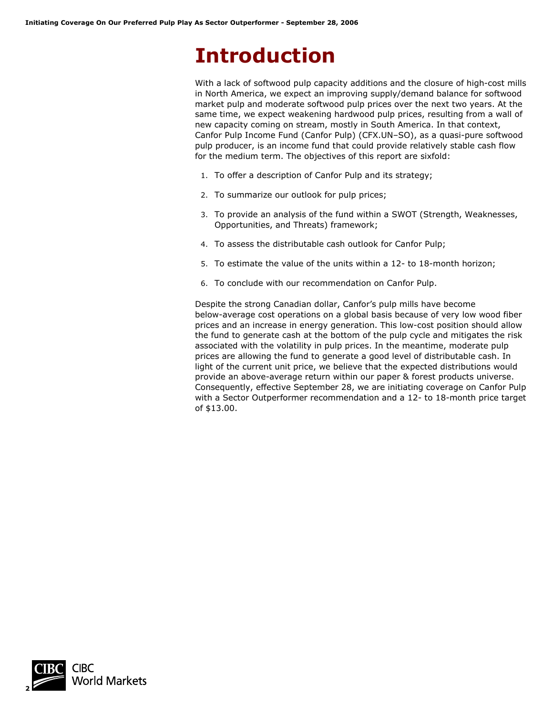# **Introduction**

With a lack of softwood pulp capacity additions and the closure of high-cost mills in North America, we expect an improving supply/demand balance for softwood market pulp and moderate softwood pulp prices over the next two years. At the same time, we expect weakening hardwood pulp prices, resulting from a wall of new capacity coming on stream, mostly in South America. In that context, Canfor Pulp Income Fund (Canfor Pulp) (CFX.UN–SO), as a quasi-pure softwood pulp producer, is an income fund that could provide relatively stable cash flow for the medium term. The objectives of this report are sixfold:

- 1. To offer a description of Canfor Pulp and its strategy;
- 2. To summarize our outlook for pulp prices;
- 3. To provide an analysis of the fund within a SWOT (Strength, Weaknesses, Opportunities, and Threats) framework;
- 4. To assess the distributable cash outlook for Canfor Pulp;
- 5. To estimate the value of the units within a 12- to 18-month horizon;
- 6. To conclude with our recommendation on Canfor Pulp.

Despite the strong Canadian dollar, Canfor's pulp mills have become below-average cost operations on a global basis because of very low wood fiber prices and an increase in energy generation. This low-cost position should allow the fund to generate cash at the bottom of the pulp cycle and mitigates the risk associated with the volatility in pulp prices. In the meantime, moderate pulp prices are allowing the fund to generate a good level of distributable cash. In light of the current unit price, we believe that the expected distributions would provide an above-average return within our paper & forest products universe. Consequently, effective September 28, we are initiating coverage on Canfor Pulp with a Sector Outperformer recommendation and a 12- to 18-month price target of \$13.00.

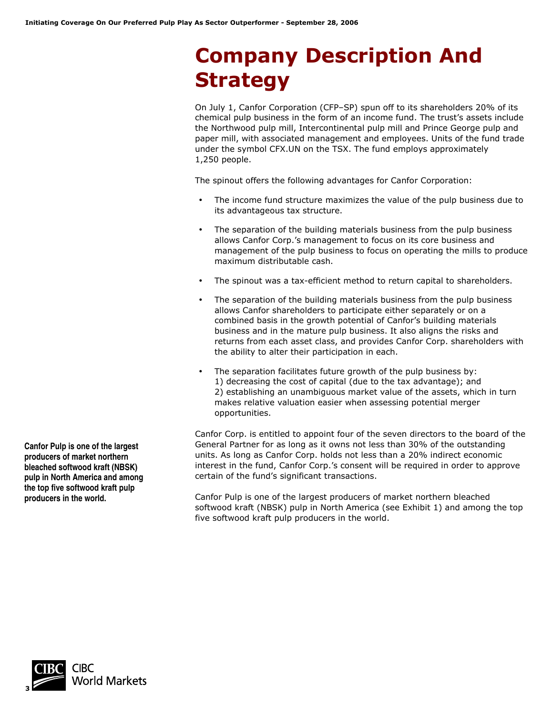# **Company Description And Strategy**

On July 1, Canfor Corporation (CFP–SP) spun off to its shareholders 20% of its chemical pulp business in the form of an income fund. The trust's assets include the Northwood pulp mill, Intercontinental pulp mill and Prince George pulp and paper mill, with associated management and employees. Units of the fund trade under the symbol CFX.UN on the TSX. The fund employs approximately 1,250 people.

The spinout offers the following advantages for Canfor Corporation:

- The income fund structure maximizes the value of the pulp business due to its advantageous tax structure.
- The separation of the building materials business from the pulp business allows Canfor Corp.'s management to focus on its core business and management of the pulp business to focus on operating the mills to produce maximum distributable cash.
- The spinout was a tax-efficient method to return capital to shareholders.
- The separation of the building materials business from the pulp business allows Canfor shareholders to participate either separately or on a combined basis in the growth potential of Canfor's building materials business and in the mature pulp business. It also aligns the risks and returns from each asset class, and provides Canfor Corp. shareholders with the ability to alter their participation in each.
- The separation facilitates future growth of the pulp business by: 1) decreasing the cost of capital (due to the tax advantage); and 2) establishing an unambiguous market value of the assets, which in turn makes relative valuation easier when assessing potential merger opportunities.

Canfor Corp. is entitled to appoint four of the seven directors to the board of the General Partner for as long as it owns not less than 30% of the outstanding units. As long as Canfor Corp. holds not less than a 20% indirect economic interest in the fund, Canfor Corp.'s consent will be required in order to approve certain of the fund's significant transactions.

Canfor Pulp is one of the largest producers of market northern bleached softwood kraft (NBSK) pulp in North America (see Exhibit 1) and among the top five softwood kraft pulp producers in the world.

**Canfor Pulp is one of the largest producers of market northern bleached softwood kraft (NBSK) pulp in North America and among the top five softwood kraft pulp producers in the world.**

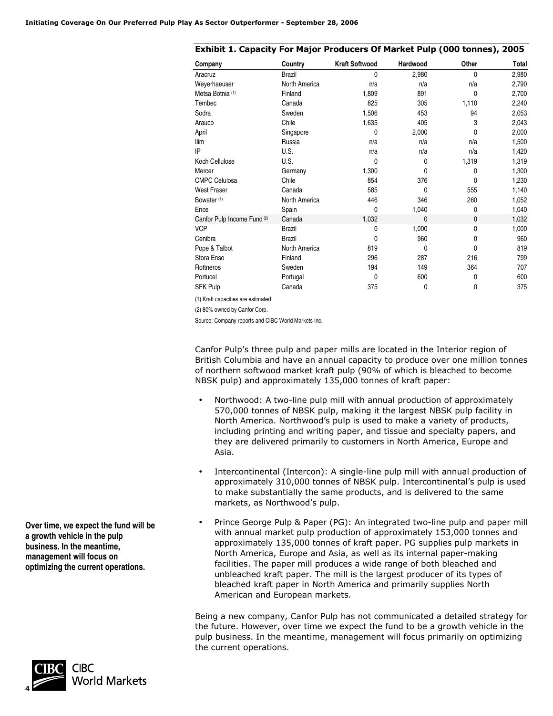| Company                            | Country       | <b>Kraft Softwood</b> | Hardwood     | Other        | Total |
|------------------------------------|---------------|-----------------------|--------------|--------------|-------|
| Aracruz                            | <b>Brazil</b> | 0                     | 2,980        | $\mathbf{0}$ | 2,980 |
| Weyerhaeuser                       | North America | n/a                   | n/a          | n/a          | 2,790 |
| Metsa Botnia <sup>(1)</sup>        | Finland       | 1,809                 | 891          | 0            | 2,700 |
| Tembec                             | Canada        | 825                   | 305          | 1,110        | 2,240 |
| Sodra                              | Sweden        | 1,506                 | 453          | 94           | 2,053 |
| Arauco                             | Chile         | 1,635                 | 405          | 3            | 2,043 |
| April                              | Singapore     | 0                     | 2,000        | 0            | 2,000 |
| <b>Ilim</b>                        | Russia        | n/a                   | n/a          | n/a          | 1,500 |
| IP                                 | U.S.          | n/a                   | n/a          | n/a          | 1,420 |
| Koch Cellulose                     | U.S.          | 0                     | 0            | 1,319        | 1,319 |
| Mercer                             | Germany       | 1,300                 | 0            | 0            | 1,300 |
| <b>CMPC Celulosa</b>               | Chile         | 854                   | 376          | 0            | 1,230 |
| <b>West Fraser</b>                 | Canada        | 585                   | 0            | 555          | 1,140 |
| Bowater <sup>(1)</sup>             | North America | 446                   | 346          | 260          | 1,052 |
| Ence                               | Spain         | 0                     | 1,040        | 0            | 1,040 |
| Canfor Pulp Income Fund (2)        | Canada        | 1,032                 | 0            | 0            | 1,032 |
| <b>VCP</b>                         | <b>Brazil</b> | 0                     | 1,000        | 0            | 1,000 |
| Cenibra                            | <b>Brazil</b> | 0                     | 960          | 0            | 960   |
| Pope & Talbot                      | North America | 819                   | $\mathbf{0}$ | $\mathbf{0}$ | 819   |
| Stora Enso                         | Finland       | 296                   | 287          | 216          | 799   |
| Rottneros                          | Sweden        | 194                   | 149          | 364          | 707   |
| Portucel                           | Portugal      | 0                     | 600          | 0            | 600   |
| <b>SFK Pulp</b>                    | Canada        | 375                   | 0            | 0            | 375   |
| (1) Kraft capacities are estimated |               |                       |              |              |       |

**Exhibit 1. Capacity For Major Producers Of Market Pulp (000 tonnes), 2005** 

(2) 80% owned by Canfor Corp.

Source: Company reports and CIBC World Markets Inc.

Canfor Pulp's three pulp and paper mills are located in the Interior region of British Columbia and have an annual capacity to produce over one million tonnes of northern softwood market kraft pulp (90% of which is bleached to become NBSK pulp) and approximately 135,000 tonnes of kraft paper:

- Northwood: A two-line pulp mill with annual production of approximately 570,000 tonnes of NBSK pulp, making it the largest NBSK pulp facility in North America. Northwood's pulp is used to make a variety of products, including printing and writing paper, and tissue and specialty papers, and they are delivered primarily to customers in North America, Europe and Asia.
- Intercontinental (Intercon): A single-line pulp mill with annual production of approximately 310,000 tonnes of NBSK pulp. Intercontinental's pulp is used to make substantially the same products, and is delivered to the same markets, as Northwood's pulp.
- Prince George Pulp & Paper (PG): An integrated two-line pulp and paper mill with annual market pulp production of approximately 153,000 tonnes and approximately 135,000 tonnes of kraft paper. PG supplies pulp markets in North America, Europe and Asia, as well as its internal paper-making facilities. The paper mill produces a wide range of both bleached and unbleached kraft paper. The mill is the largest producer of its types of bleached kraft paper in North America and primarily supplies North American and European markets.

Being a new company, Canfor Pulp has not communicated a detailed strategy for the future. However, over time we expect the fund to be a growth vehicle in the pulp business. In the meantime, management will focus primarily on optimizing the current operations.

**Over time, we expect the fund will be a growth vehicle in the pulp business. In the meantime, management will focus on optimizing the current operations.**

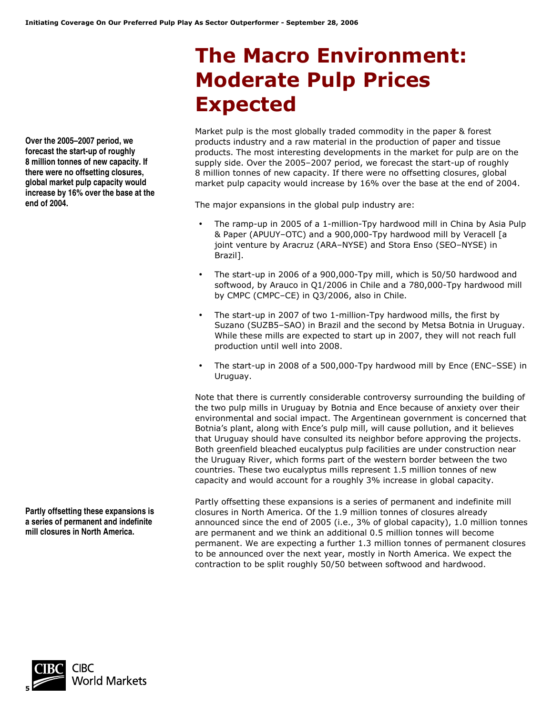# **The Macro Environment: Moderate Pulp Prices Expected**

Market pulp is the most globally traded commodity in the paper & forest products industry and a raw material in the production of paper and tissue products. The most interesting developments in the market for pulp are on the supply side. Over the 2005–2007 period, we forecast the start-up of roughly 8 million tonnes of new capacity. If there were no offsetting closures, global market pulp capacity would increase by 16% over the base at the end of 2004.

The major expansions in the global pulp industry are:

- The ramp-up in 2005 of a 1-million-Tpy hardwood mill in China by Asia Pulp & Paper (APUUY–OTC) and a 900,000-Tpy hardwood mill by Veracell [a joint venture by Aracruz (ARA–NYSE) and Stora Enso (SEO–NYSE) in Brazil].
- The start-up in 2006 of a 900,000-Tpy mill, which is 50/50 hardwood and softwood, by Arauco in Q1/2006 in Chile and a 780,000-Tpy hardwood mill by CMPC (CMPC–CE) in Q3/2006, also in Chile.
- The start-up in 2007 of two 1-million-Tpy hardwood mills, the first by Suzano (SUZB5–SAO) in Brazil and the second by Metsa Botnia in Uruguay. While these mills are expected to start up in 2007, they will not reach full production until well into 2008.
- The start-up in 2008 of a 500,000-Tpy hardwood mill by Ence (ENC–SSE) in Uruguay.

Note that there is currently considerable controversy surrounding the building of the two pulp mills in Uruguay by Botnia and Ence because of anxiety over their environmental and social impact. The Argentinean government is concerned that Botnia's plant, along with Ence's pulp mill, will cause pollution, and it believes that Uruguay should have consulted its neighbor before approving the projects. Both greenfield bleached eucalyptus pulp facilities are under construction near the Uruguay River, which forms part of the western border between the two countries. These two eucalyptus mills represent 1.5 million tonnes of new capacity and would account for a roughly 3% increase in global capacity.

Partly offsetting these expansions is a series of permanent and indefinite mill closures in North America. Of the 1.9 million tonnes of closures already announced since the end of 2005 (i.e., 3% of global capacity), 1.0 million tonnes are permanent and we think an additional 0.5 million tonnes will become permanent. We are expecting a further 1.3 million tonnes of permanent closures to be announced over the next year, mostly in North America. We expect the contraction to be split roughly 50/50 between softwood and hardwood.

**Over the 2005–2007 period, we forecast the start-up of roughly 8 million tonnes of new capacity. If there were no offsetting closures, global market pulp capacity would increase by 16% over the base at the end of 2004.** 

**Partly offsetting these expansions is a series of permanent and indefinite mill closures in North America.** 

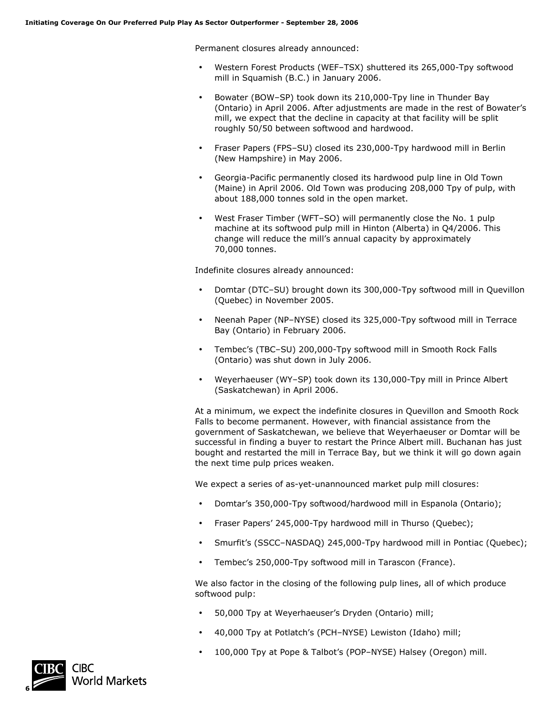Permanent closures already announced:

- Western Forest Products (WEF–TSX) shuttered its 265,000-Tpy softwood mill in Squamish (B.C.) in January 2006.
- Bowater (BOW–SP) took down its 210,000-Tpy line in Thunder Bay (Ontario) in April 2006. After adjustments are made in the rest of Bowater's mill, we expect that the decline in capacity at that facility will be split roughly 50/50 between softwood and hardwood.
- Fraser Papers (FPS–SU) closed its 230,000-Tpy hardwood mill in Berlin (New Hampshire) in May 2006.
- Georgia-Pacific permanently closed its hardwood pulp line in Old Town (Maine) in April 2006. Old Town was producing 208,000 Tpy of pulp, with about 188,000 tonnes sold in the open market.
- West Fraser Timber (WFT–SO) will permanently close the No. 1 pulp machine at its softwood pulp mill in Hinton (Alberta) in Q4/2006. This change will reduce the mill's annual capacity by approximately 70,000 tonnes.

Indefinite closures already announced:

- Domtar (DTC–SU) brought down its 300,000-Tpy softwood mill in Quevillon (Quebec) in November 2005.
- Neenah Paper (NP–NYSE) closed its 325,000-Tpy softwood mill in Terrace Bay (Ontario) in February 2006.
- Tembec's (TBC–SU) 200,000-Tpy softwood mill in Smooth Rock Falls (Ontario) was shut down in July 2006.
- Weyerhaeuser (WY–SP) took down its 130,000-Tpy mill in Prince Albert (Saskatchewan) in April 2006.

At a minimum, we expect the indefinite closures in Quevillon and Smooth Rock Falls to become permanent. However, with financial assistance from the government of Saskatchewan, we believe that Weyerhaeuser or Domtar will be successful in finding a buyer to restart the Prince Albert mill. Buchanan has just bought and restarted the mill in Terrace Bay, but we think it will go down again the next time pulp prices weaken.

We expect a series of as-yet-unannounced market pulp mill closures:

- Domtar's 350,000-Tpy softwood/hardwood mill in Espanola (Ontario);
- Fraser Papers' 245,000-Tpy hardwood mill in Thurso (Quebec);
- Smurfit's (SSCC–NASDAQ) 245,000-Tpy hardwood mill in Pontiac (Quebec);
- Tembec's 250,000-Tpy softwood mill in Tarascon (France).

We also factor in the closing of the following pulp lines, all of which produce softwood pulp:

- 50,000 Tpy at Weyerhaeuser's Dryden (Ontario) mill;
- 40,000 Tpy at Potlatch's (PCH–NYSE) Lewiston (Idaho) mill;
- 100,000 Tpy at Pope & Talbot's (POP–NYSE) Halsey (Oregon) mill.

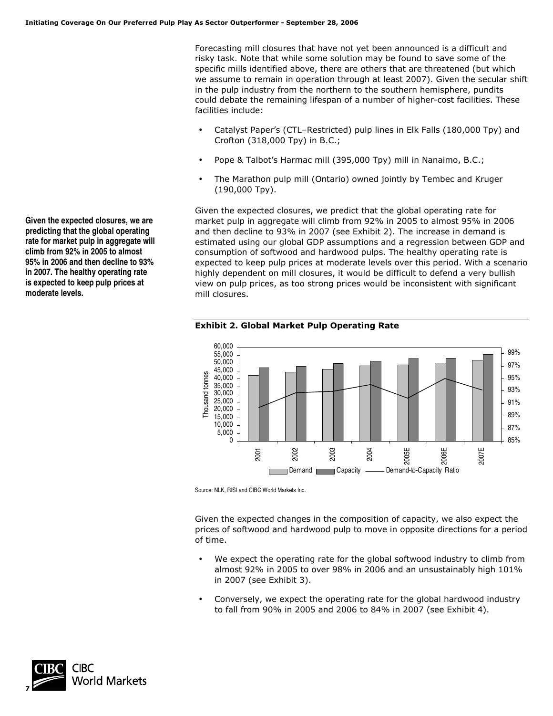Forecasting mill closures that have not yet been announced is a difficult and risky task. Note that while some solution may be found to save some of the specific mills identified above, there are others that are threatened (but which we assume to remain in operation through at least 2007). Given the secular shift in the pulp industry from the northern to the southern hemisphere, pundits could debate the remaining lifespan of a number of higher-cost facilities. These facilities include:

- Catalyst Paper's (CTL–Restricted) pulp lines in Elk Falls (180,000 Tpy) and Crofton (318,000 Tpy) in B.C.;
- Pope & Talbot's Harmac mill (395,000 Tpy) mill in Nanaimo, B.C.;
- The Marathon pulp mill (Ontario) owned jointly by Tembec and Kruger (190,000 Tpy).

Given the expected closures, we predict that the global operating rate for market pulp in aggregate will climb from 92% in 2005 to almost 95% in 2006 and then decline to 93% in 2007 (see Exhibit 2). The increase in demand is estimated using our global GDP assumptions and a regression between GDP and consumption of softwood and hardwood pulps. The healthy operating rate is expected to keep pulp prices at moderate levels over this period. With a scenario highly dependent on mill closures, it would be difficult to defend a very bullish view on pulp prices, as too strong prices would be inconsistent with significant mill closures.



**Exhibit 2. Global Market Pulp Operating Rate** 

Source: NLK, RISI and CIBC World Markets Inc.

Given the expected changes in the composition of capacity, we also expect the prices of softwood and hardwood pulp to move in opposite directions for a period of time.

- We expect the operating rate for the global softwood industry to climb from almost 92% in 2005 to over 98% in 2006 and an unsustainably high 101% in 2007 (see Exhibit 3).
- Conversely, we expect the operating rate for the global hardwood industry to fall from 90% in 2005 and 2006 to 84% in 2007 (see Exhibit 4).



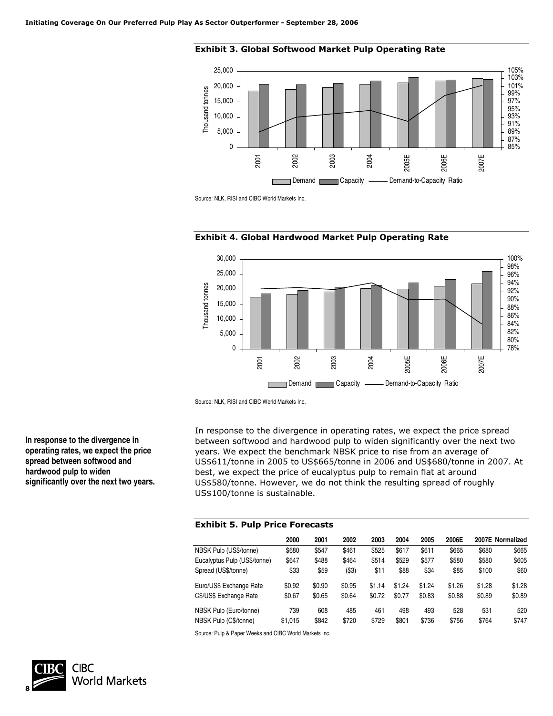

**Exhibit 3. Global Softwood Market Pulp Operating Rate** 

Source: NLK, RISI and CIBC World Markets Inc.





Source: NLK, RISI and CIBC World Markets Inc.

In response to the divergence in operating rates, we expect the price spread between softwood and hardwood pulp to widen significantly over the next two years. We expect the benchmark NBSK price to rise from an average of US\$611/tonne in 2005 to US\$665/tonne in 2006 and US\$680/tonne in 2007. At best, we expect the price of eucalyptus pulp to remain flat at around US\$580/tonne. However, we do not think the resulting spread of roughly US\$100/tonne is sustainable.

### **Exhibit 5. Pulp Price Forecasts**

|                              | 2000    | 2001   | 2002   | 2003   | 2004   | 2005   | 2006E  |        | 2007E Normalized |
|------------------------------|---------|--------|--------|--------|--------|--------|--------|--------|------------------|
| NBSK Pulp (US\$/tonne)       | \$680   | \$547  | \$461  | \$525  | \$617  | \$611  | \$665  | \$680  | \$665            |
| Eucalyptus Pulp (US\$/tonne) | \$647   | \$488  | \$464  | \$514  | \$529  | \$577  | \$580  | \$580  | \$605            |
| Spread (US\$/tonne)          | \$33    | \$59   | (\$3)  | \$11   | \$88   | \$34   | \$85   | \$100  | \$60             |
| Euro/US\$ Exchange Rate      | \$0.92  | \$0.90 | \$0.95 | \$1.14 | \$1.24 | \$1.24 | \$1.26 | \$1.28 | \$1.28           |
| C\$/US\$ Exchange Rate       | \$0.67  | \$0.65 | \$0.64 | \$0.72 | \$0.77 | \$0.83 | \$0.88 | \$0.89 | \$0.89           |
| NBSK Pulp (Euro/tonne)       | 739     | 608    | 485    | 461    | 498    | 493    | 528    | 531    | 520              |
| NBSK Pulp (C\$/tonne)        | \$1.015 | \$842  | \$720  | \$729  | \$801  | \$736  | \$756  | \$764  | \$747            |

Source: Pulp & Paper Weeks and CIBC World Markets Inc.



**In response to the divergence in operating rates, we expect the price spread between softwood and hardwood pulp to widen significantly over the next two years.**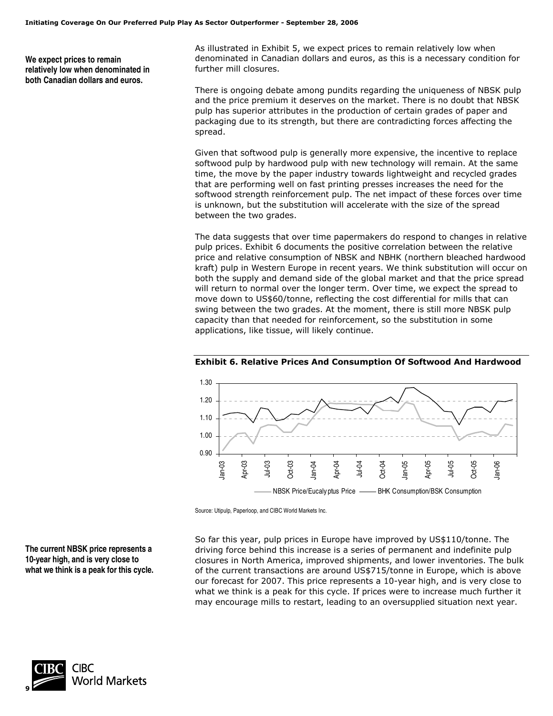**We expect prices to remain relatively low when denominated in both Canadian dollars and euros.**

As illustrated in Exhibit 5, we expect prices to remain relatively low when denominated in Canadian dollars and euros, as this is a necessary condition for further mill closures.

There is ongoing debate among pundits regarding the uniqueness of NBSK pulp and the price premium it deserves on the market. There is no doubt that NBSK pulp has superior attributes in the production of certain grades of paper and packaging due to its strength, but there are contradicting forces affecting the spread.

Given that softwood pulp is generally more expensive, the incentive to replace softwood pulp by hardwood pulp with new technology will remain. At the same time, the move by the paper industry towards lightweight and recycled grades that are performing well on fast printing presses increases the need for the softwood strength reinforcement pulp. The net impact of these forces over time is unknown, but the substitution will accelerate with the size of the spread between the two grades.

The data suggests that over time papermakers do respond to changes in relative pulp prices. Exhibit 6 documents the positive correlation between the relative price and relative consumption of NBSK and NBHK (northern bleached hardwood kraft) pulp in Western Europe in recent years. We think substitution will occur on both the supply and demand side of the global market and that the price spread will return to normal over the longer term. Over time, we expect the spread to move down to US\$60/tonne, reflecting the cost differential for mills that can swing between the two grades. At the moment, there is still more NBSK pulp capacity than that needed for reinforcement, so the substitution in some applications, like tissue, will likely continue.



**Exhibit 6. Relative Prices And Consumption Of Softwood And Hardwood** 

Source: Utipulp, Paperloop, and CIBC World Markets Inc.

So far this year, pulp prices in Europe have improved by US\$110/tonne. The driving force behind this increase is a series of permanent and indefinite pulp closures in North America, improved shipments, and lower inventories. The bulk of the current transactions are around US\$715/tonne in Europe, which is above our forecast for 2007. This price represents a 10-year high, and is very close to what we think is a peak for this cycle. If prices were to increase much further it may encourage mills to restart, leading to an oversupplied situation next year.

**The current NBSK price represents a 10-year high, and is very close to what we think is a peak for this cycle.** 

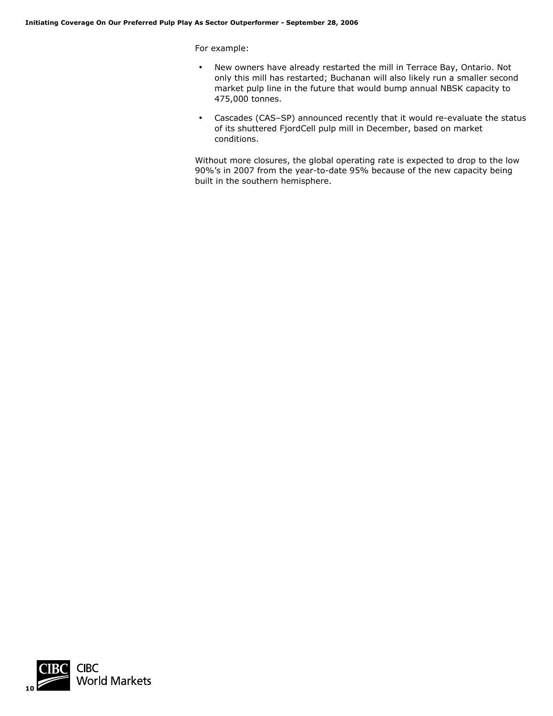For example:

- New owners have already restarted the mill in Terrace Bay, Ontario. Not only this mill has restarted; Buchanan will also likely run a smaller second market pulp line in the future that would bump annual NBSK capacity to 475,000 tonnes.
- Cascades (CAS–SP) announced recently that it would re-evaluate the status of its shuttered FjordCell pulp mill in December, based on market conditions.

Without more closures, the global operating rate is expected to drop to the low 90%'s in 2007 from the year-to-date 95% because of the new capacity being built in the southern hemisphere.

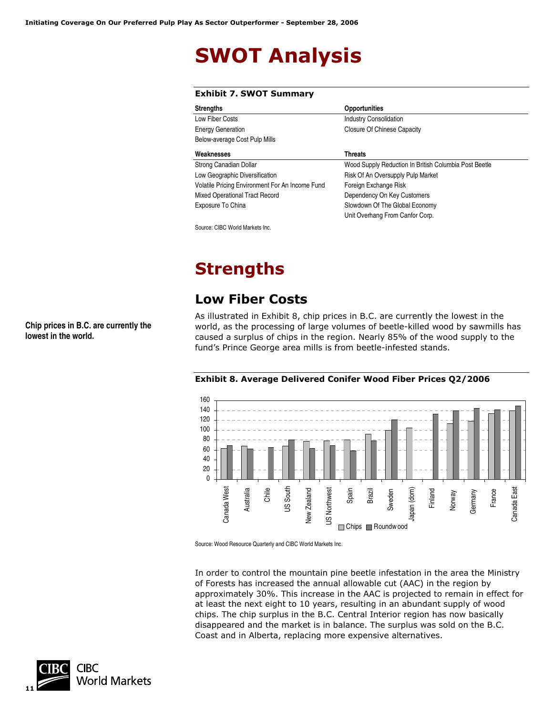# **SWOT Analysis**

| <b>Opportunities</b>                                  |
|-------------------------------------------------------|
| <b>Industry Consolidation</b>                         |
| Closure Of Chinese Capacity                           |
|                                                       |
| <b>Threats</b>                                        |
| Wood Supply Reduction In British Columbia Post Beetle |
| Risk Of An Oversupply Pulp Market                     |
| Foreign Exchange Risk                                 |
| Dependency On Key Customers                           |
| Slowdown Of The Global Economy                        |
| Unit Overhang From Canfor Corp.                       |
|                                                       |

**Exhibit 7. SWOT Summary** 

Source: CIBC World Markets Inc.

## **Strengths**

## **Low Fiber Costs**

As illustrated in Exhibit 8, chip prices in B.C. are currently the lowest in the world, as the processing of large volumes of beetle-killed wood by sawmills has caused a surplus of chips in the region. Nearly 85% of the wood supply to the fund's Prince George area mills is from beetle-infested stands.



### **Exhibit 8. Average Delivered Conifer Wood Fiber Prices Q2/2006**

Source: Wood Resource Quarterly and CIBC World Markets Inc.

In order to control the mountain pine beetle infestation in the area the Ministry of Forests has increased the annual allowable cut (AAC) in the region by approximately 30%. This increase in the AAC is projected to remain in effect for at least the next eight to 10 years, resulting in an abundant supply of wood chips. The chip surplus in the B.C. Central Interior region has now basically disappeared and the market is in balance. The surplus was sold on the B.C. Coast and in Alberta, replacing more expensive alternatives.



**Chip prices in B.C. are currently the lowest in the world.**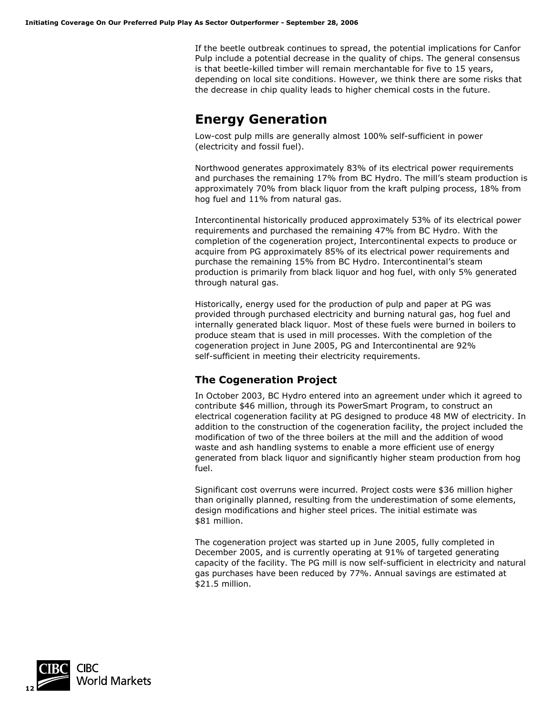If the beetle outbreak continues to spread, the potential implications for Canfor Pulp include a potential decrease in the quality of chips. The general consensus is that beetle-killed timber will remain merchantable for five to 15 years, depending on local site conditions. However, we think there are some risks that the decrease in chip quality leads to higher chemical costs in the future.

### **Energy Generation**

Low-cost pulp mills are generally almost 100% self-sufficient in power (electricity and fossil fuel).

Northwood generates approximately 83% of its electrical power requirements and purchases the remaining 17% from BC Hydro. The mill's steam production is approximately 70% from black liquor from the kraft pulping process, 18% from hog fuel and 11% from natural gas.

Intercontinental historically produced approximately 53% of its electrical power requirements and purchased the remaining 47% from BC Hydro. With the completion of the cogeneration project, Intercontinental expects to produce or acquire from PG approximately 85% of its electrical power requirements and purchase the remaining 15% from BC Hydro. Intercontinental's steam production is primarily from black liquor and hog fuel, with only 5% generated through natural gas.

Historically, energy used for the production of pulp and paper at PG was provided through purchased electricity and burning natural gas, hog fuel and internally generated black liquor. Most of these fuels were burned in boilers to produce steam that is used in mill processes. With the completion of the cogeneration project in June 2005, PG and Intercontinental are 92% self-sufficient in meeting their electricity requirements.

### **The Cogeneration Project**

In October 2003, BC Hydro entered into an agreement under which it agreed to contribute \$46 million, through its PowerSmart Program, to construct an electrical cogeneration facility at PG designed to produce 48 MW of electricity. In addition to the construction of the cogeneration facility, the project included the modification of two of the three boilers at the mill and the addition of wood waste and ash handling systems to enable a more efficient use of energy generated from black liquor and significantly higher steam production from hog fuel.

Significant cost overruns were incurred. Project costs were \$36 million higher than originally planned, resulting from the underestimation of some elements, design modifications and higher steel prices. The initial estimate was \$81 million.

The cogeneration project was started up in June 2005, fully completed in December 2005, and is currently operating at 91% of targeted generating capacity of the facility. The PG mill is now self-sufficient in electricity and natural gas purchases have been reduced by 77%. Annual savings are estimated at \$21.5 million.

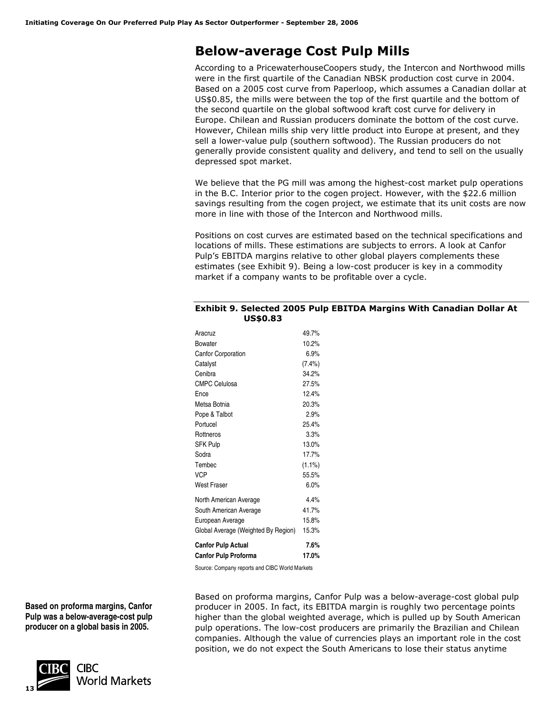## **Below-average Cost Pulp Mills**

According to a PricewaterhouseCoopers study, the Intercon and Northwood mills were in the first quartile of the Canadian NBSK production cost curve in 2004. Based on a 2005 cost curve from Paperloop, which assumes a Canadian dollar at US\$0.85, the mills were between the top of the first quartile and the bottom of the second quartile on the global softwood kraft cost curve for delivery in Europe. Chilean and Russian producers dominate the bottom of the cost curve. However, Chilean mills ship very little product into Europe at present, and they sell a lower-value pulp (southern softwood). The Russian producers do not generally provide consistent quality and delivery, and tend to sell on the usually depressed spot market.

We believe that the PG mill was among the highest-cost market pulp operations in the B.C. Interior prior to the cogen project. However, with the \$22.6 million savings resulting from the cogen project, we estimate that its unit costs are now more in line with those of the Intercon and Northwood mills.

Positions on cost curves are estimated based on the technical specifications and locations of mills. These estimations are subjects to errors. A look at Canfor Pulp's EBITDA margins relative to other global players complements these estimates (see Exhibit 9). Being a low-cost producer is key in a commodity market if a company wants to be profitable over a cycle.

| Exhibit 9. Selected 2005 Pulp EBITDA Margins With Canadian Dollar At |  |  |
|----------------------------------------------------------------------|--|--|
| <b>US\$0.83</b>                                                      |  |  |

| Aracruz                             | 49.7%     |
|-------------------------------------|-----------|
| Bowater                             | 10.2%     |
| <b>Canfor Corporation</b>           | 6.9%      |
| Catalyst                            | $(7.4\%)$ |
| Cenibra                             | 34.2%     |
| <b>CMPC Celulosa</b>                | 27.5%     |
| Ence                                | 12.4%     |
| Metsa Botnia                        | 20.3%     |
| Pope & Talbot                       | 2.9%      |
| Portucel                            | 25.4%     |
| Rottneros                           | 3.3%      |
| <b>SFK Pulp</b>                     | 13.0%     |
| Sodra                               | 17.7%     |
| Tembec                              | $(1.1\%)$ |
| VCP                                 | 55.5%     |
| West Fraser                         | 6.0%      |
| North American Average              | 4.4%      |
| South American Average              | 41.7%     |
| European Average                    | 15.8%     |
| Global Average (Weighted By Region) | 15.3%     |
| <b>Canfor Pulp Actual</b>           | 7.6%      |
| <b>Canfor Pulp Proforma</b>         | 17.0%     |

Source: Company reports and CIBC World Markets

**Based on proforma margins, Canfor Pulp was a below-average-cost pulp producer on a global basis in 2005.** 



Based on proforma margins, Canfor Pulp was a below-average-cost global pulp producer in 2005. In fact, its EBITDA margin is roughly two percentage points higher than the global weighted average, which is pulled up by South American pulp operations. The low-cost producers are primarily the Brazilian and Chilean companies. Although the value of currencies plays an important role in the cost position, we do not expect the South Americans to lose their status anytime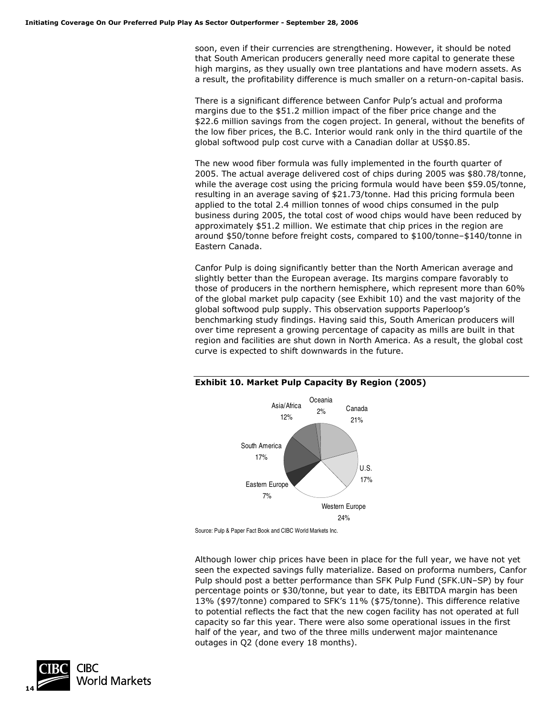soon, even if their currencies are strengthening. However, it should be noted that South American producers generally need more capital to generate these high margins, as they usually own tree plantations and have modern assets. As a result, the profitability difference is much smaller on a return-on-capital basis.

There is a significant difference between Canfor Pulp's actual and proforma margins due to the \$51.2 million impact of the fiber price change and the \$22.6 million savings from the cogen project. In general, without the benefits of the low fiber prices, the B.C. Interior would rank only in the third quartile of the global softwood pulp cost curve with a Canadian dollar at US\$0.85.

The new wood fiber formula was fully implemented in the fourth quarter of 2005. The actual average delivered cost of chips during 2005 was \$80.78/tonne, while the average cost using the pricing formula would have been \$59.05/tonne, resulting in an average saving of \$21.73/tonne. Had this pricing formula been applied to the total 2.4 million tonnes of wood chips consumed in the pulp business during 2005, the total cost of wood chips would have been reduced by approximately \$51.2 million. We estimate that chip prices in the region are around \$50/tonne before freight costs, compared to \$100/tonne–\$140/tonne in Eastern Canada.

Canfor Pulp is doing significantly better than the North American average and slightly better than the European average. Its margins compare favorably to those of producers in the northern hemisphere, which represent more than 60% of the global market pulp capacity (see Exhibit 10) and the vast majority of the global softwood pulp supply. This observation supports Paperloop's benchmarking study findings. Having said this, South American producers will over time represent a growing percentage of capacity as mills are built in that region and facilities are shut down in North America. As a result, the global cost curve is expected to shift downwards in the future.



### **Exhibit 10. Market Pulp Capacity By Region (2005)**

Although lower chip prices have been in place for the full year, we have not yet seen the expected savings fully materialize. Based on proforma numbers, Canfor Pulp should post a better performance than SFK Pulp Fund (SFK.UN–SP) by four percentage points or \$30/tonne, but year to date, its EBITDA margin has been 13% (\$97/tonne) compared to SFK's 11% (\$75/tonne). This difference relative to potential reflects the fact that the new cogen facility has not operated at full capacity so far this year. There were also some operational issues in the first half of the year, and two of the three mills underwent major maintenance outages in Q2 (done every 18 months).



Source: Pulp & Paper Fact Book and CIBC World Markets Inc.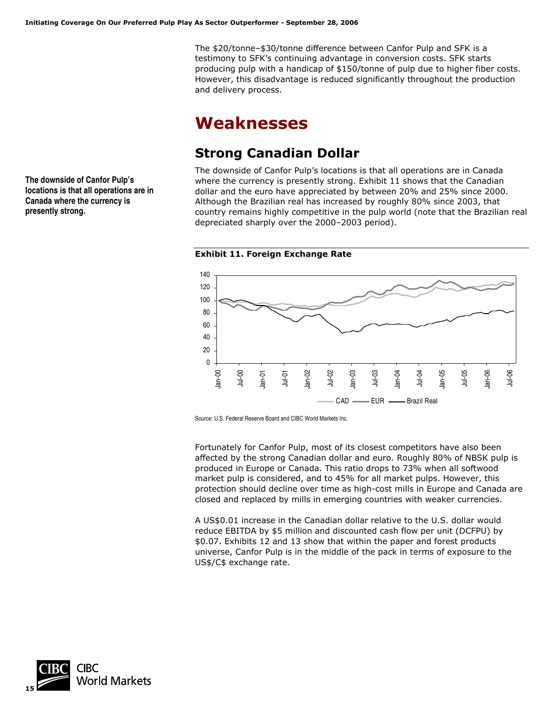The \$20/tonne–\$30/tonne difference between Canfor Pulp and SFK is a testimony to SFK's continuing advantage in conversion costs. SFK starts producing pulp with a handicap of \$150/tonne of pulp due to higher fiber costs. However, this disadvantage is reduced significantly throughout the production and delivery process.

## **Weaknesses**

## **Strong Canadian Dollar**

The downside of Canfor Pulp's locations is that all operations are in Canada where the currency is presently strong. Exhibit 11 shows that the Canadian dollar and the euro have appreciated by between 20% and 25% since 2000. Although the Brazilian real has increased by roughly 80% since 2003, that country remains highly competitive in the pulp world (note that the Brazilian real depreciated sharply over the 2000–2003 period).

**Exhibit 11. Foreign Exchange Rate** 



Source: U.S. Federal Reserve Board and CIBC World Markets Inc.

Fortunately for Canfor Pulp, most of its closest competitors have also been affected by the strong Canadian dollar and euro. Roughly 80% of NBSK pulp is produced in Europe or Canada. This ratio drops to 73% when all softwood market pulp is considered, and to 45% for all market pulps. However, this protection should decline over time as high-cost mills in Europe and Canada are closed and replaced by mills in emerging countries with weaker currencies.

A US\$0.01 increase in the Canadian dollar relative to the U.S. dollar would reduce EBITDA by \$5 million and discounted cash flow per unit (DCFPU) by \$0.07. Exhibits 12 and 13 show that within the paper and forest products universe, Canfor Pulp is in the middle of the pack in terms of exposure to the US\$/C\$ exchange rate.



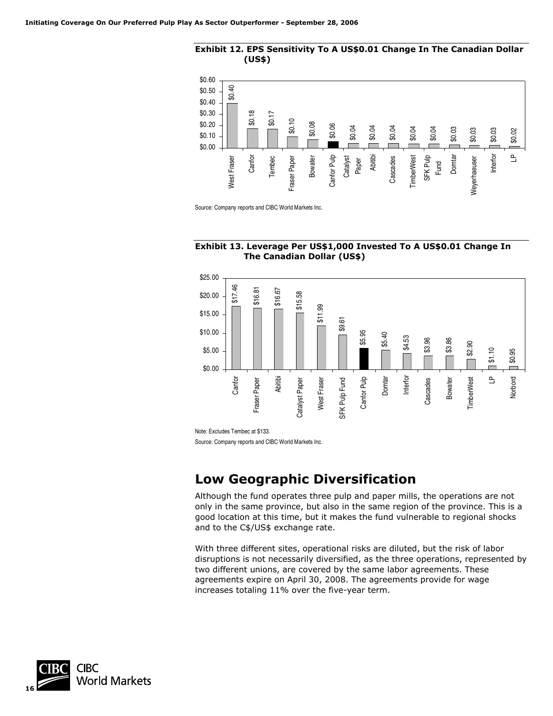



Source: Company reports and CIBC World Markets Inc.





Note: Excludes Tembec at \$133.

Source: Company reports and CIBC World Markets Inc.

### **Low Geographic Diversification**

Although the fund operates three pulp and paper mills, the operations are not only in the same province, but also in the same region of the province. This is a good location at this time, but it makes the fund vulnerable to regional shocks and to the C\$/US\$ exchange rate.

With three different sites, operational risks are diluted, but the risk of labor disruptions is not necessarily diversified, as the three operations, represented by two different unions, are covered by the same labor agreements. These agreements expire on April 30, 2008. The agreements provide for wage increases totaling 11% over the five-year term.

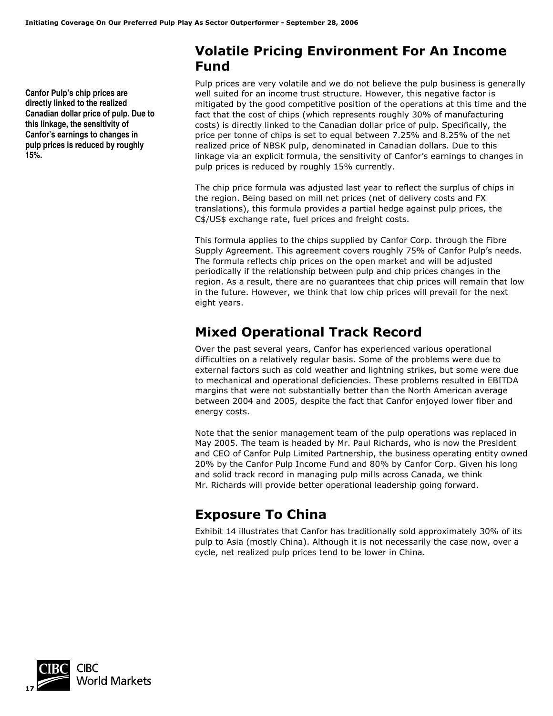**Canfor Pulp's chip prices are directly linked to the realized Canadian dollar price of pulp. Due to this linkage, the sensitivity of Canfor's earnings to changes in pulp prices is reduced by roughly 15%.** 

### **Volatile Pricing Environment For An Income Fund**

Pulp prices are very volatile and we do not believe the pulp business is generally well suited for an income trust structure. However, this negative factor is mitigated by the good competitive position of the operations at this time and the fact that the cost of chips (which represents roughly 30% of manufacturing costs) is directly linked to the Canadian dollar price of pulp. Specifically, the price per tonne of chips is set to equal between 7.25% and 8.25% of the net realized price of NBSK pulp, denominated in Canadian dollars. Due to this linkage via an explicit formula, the sensitivity of Canfor's earnings to changes in pulp prices is reduced by roughly 15% currently.

The chip price formula was adjusted last year to reflect the surplus of chips in the region. Being based on mill net prices (net of delivery costs and FX translations), this formula provides a partial hedge against pulp prices, the C\$/US\$ exchange rate, fuel prices and freight costs.

This formula applies to the chips supplied by Canfor Corp. through the Fibre Supply Agreement. This agreement covers roughly 75% of Canfor Pulp's needs. The formula reflects chip prices on the open market and will be adjusted periodically if the relationship between pulp and chip prices changes in the region. As a result, there are no guarantees that chip prices will remain that low in the future. However, we think that low chip prices will prevail for the next eight years.

## **Mixed Operational Track Record**

Over the past several years, Canfor has experienced various operational difficulties on a relatively regular basis. Some of the problems were due to external factors such as cold weather and lightning strikes, but some were due to mechanical and operational deficiencies. These problems resulted in EBITDA margins that were not substantially better than the North American average between 2004 and 2005, despite the fact that Canfor enjoyed lower fiber and energy costs.

Note that the senior management team of the pulp operations was replaced in May 2005. The team is headed by Mr. Paul Richards, who is now the President and CEO of Canfor Pulp Limited Partnership, the business operating entity owned 20% by the Canfor Pulp Income Fund and 80% by Canfor Corp. Given his long and solid track record in managing pulp mills across Canada, we think Mr. Richards will provide better operational leadership going forward.

## **Exposure To China**

Exhibit 14 illustrates that Canfor has traditionally sold approximately 30% of its pulp to Asia (mostly China). Although it is not necessarily the case now, over a cycle, net realized pulp prices tend to be lower in China.

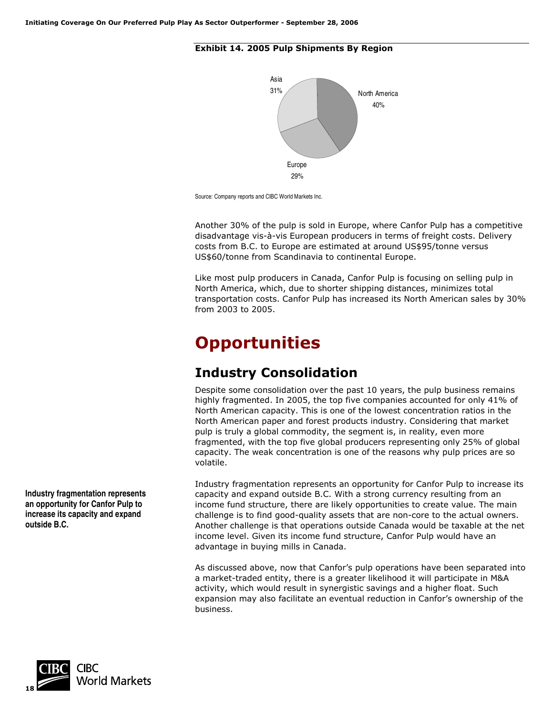### **Exhibit 14. 2005 Pulp Shipments By Region**



Source: Company reports and CIBC World Markets Inc.

Another 30% of the pulp is sold in Europe, where Canfor Pulp has a competitive disadvantage vis-à-vis European producers in terms of freight costs. Delivery costs from B.C. to Europe are estimated at around US\$95/tonne versus US\$60/tonne from Scandinavia to continental Europe.

Like most pulp producers in Canada, Canfor Pulp is focusing on selling pulp in North America, which, due to shorter shipping distances, minimizes total transportation costs. Canfor Pulp has increased its North American sales by 30% from 2003 to 2005.

## **Opportunities**

## **Industry Consolidation**

Despite some consolidation over the past 10 years, the pulp business remains highly fragmented. In 2005, the top five companies accounted for only 41% of North American capacity. This is one of the lowest concentration ratios in the North American paper and forest products industry. Considering that market pulp is truly a global commodity, the segment is, in reality, even more fragmented, with the top five global producers representing only 25% of global capacity. The weak concentration is one of the reasons why pulp prices are so volatile.

Industry fragmentation represents an opportunity for Canfor Pulp to increase its capacity and expand outside B.C. With a strong currency resulting from an income fund structure, there are likely opportunities to create value. The main challenge is to find good-quality assets that are non-core to the actual owners. Another challenge is that operations outside Canada would be taxable at the net income level. Given its income fund structure, Canfor Pulp would have an advantage in buying mills in Canada.

As discussed above, now that Canfor's pulp operations have been separated into a market-traded entity, there is a greater likelihood it will participate in M&A activity, which would result in synergistic savings and a higher float. Such expansion may also facilitate an eventual reduction in Canfor's ownership of the business.



**Industry fragmentation represents an opportunity for Canfor Pulp to increase its capacity and expand outside B.C.**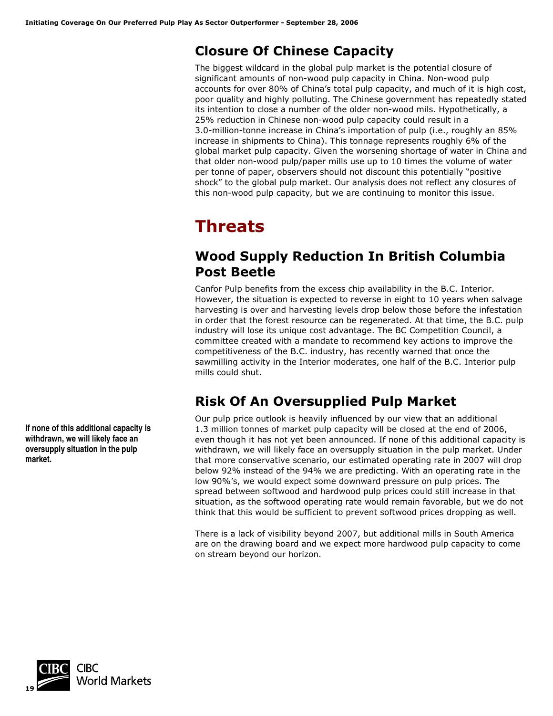## **Closure Of Chinese Capacity**

The biggest wildcard in the global pulp market is the potential closure of significant amounts of non-wood pulp capacity in China. Non-wood pulp accounts for over 80% of China's total pulp capacity, and much of it is high cost, poor quality and highly polluting. The Chinese government has repeatedly stated its intention to close a number of the older non-wood mils. Hypothetically, a 25% reduction in Chinese non-wood pulp capacity could result in a 3.0-million-tonne increase in China's importation of pulp (i.e., roughly an 85% increase in shipments to China). This tonnage represents roughly 6% of the global market pulp capacity. Given the worsening shortage of water in China and that older non-wood pulp/paper mills use up to 10 times the volume of water per tonne of paper, observers should not discount this potentially "positive shock" to the global pulp market. Our analysis does not reflect any closures of this non-wood pulp capacity, but we are continuing to monitor this issue.

## **Threats**

## **Wood Supply Reduction In British Columbia Post Beetle**

Canfor Pulp benefits from the excess chip availability in the B.C. Interior. However, the situation is expected to reverse in eight to 10 years when salvage harvesting is over and harvesting levels drop below those before the infestation in order that the forest resource can be regenerated. At that time, the B.C. pulp industry will lose its unique cost advantage. The BC Competition Council, a committee created with a mandate to recommend key actions to improve the competitiveness of the B.C. industry, has recently warned that once the sawmilling activity in the Interior moderates, one half of the B.C. Interior pulp mills could shut.

## **Risk Of An Oversupplied Pulp Market**

Our pulp price outlook is heavily influenced by our view that an additional 1.3 million tonnes of market pulp capacity will be closed at the end of 2006, even though it has not yet been announced. If none of this additional capacity is withdrawn, we will likely face an oversupply situation in the pulp market. Under that more conservative scenario, our estimated operating rate in 2007 will drop below 92% instead of the 94% we are predicting. With an operating rate in the low 90%'s, we would expect some downward pressure on pulp prices. The spread between softwood and hardwood pulp prices could still increase in that situation, as the softwood operating rate would remain favorable, but we do not think that this would be sufficient to prevent softwood prices dropping as well.

There is a lack of visibility beyond 2007, but additional mills in South America are on the drawing board and we expect more hardwood pulp capacity to come on stream beyond our horizon.

**If none of this additional capacity is withdrawn, we will likely face an oversupply situation in the pulp market.** 

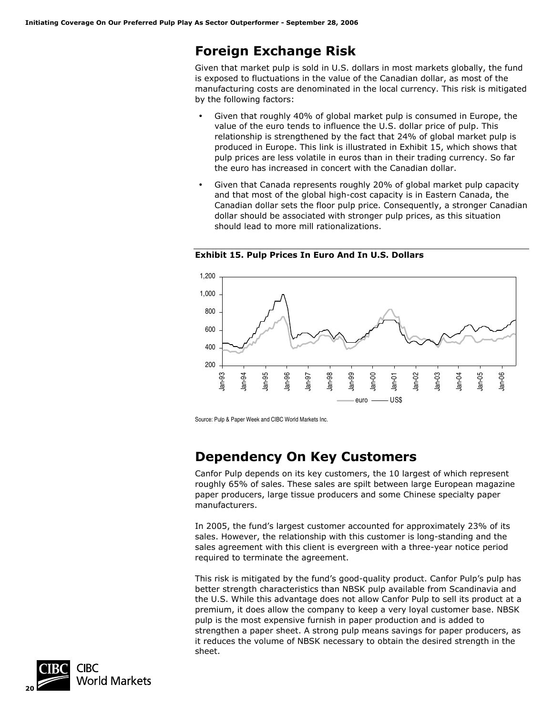## **Foreign Exchange Risk**

Given that market pulp is sold in U.S. dollars in most markets globally, the fund is exposed to fluctuations in the value of the Canadian dollar, as most of the manufacturing costs are denominated in the local currency. This risk is mitigated by the following factors:

- Given that roughly 40% of global market pulp is consumed in Europe, the value of the euro tends to influence the U.S. dollar price of pulp. This relationship is strengthened by the fact that 24% of global market pulp is produced in Europe. This link is illustrated in Exhibit 15, which shows that pulp prices are less volatile in euros than in their trading currency. So far the euro has increased in concert with the Canadian dollar.
- Given that Canada represents roughly 20% of global market pulp capacity and that most of the global high-cost capacity is in Eastern Canada, the Canadian dollar sets the floor pulp price. Consequently, a stronger Canadian dollar should be associated with stronger pulp prices, as this situation should lead to more mill rationalizations.



**Exhibit 15. Pulp Prices In Euro And In U.S. Dollars** 

Source: Pulp & Paper Week and CIBC World Markets Inc.

## **Dependency On Key Customers**

Canfor Pulp depends on its key customers, the 10 largest of which represent roughly 65% of sales. These sales are spilt between large European magazine paper producers, large tissue producers and some Chinese specialty paper manufacturers.

In 2005, the fund's largest customer accounted for approximately 23% of its sales. However, the relationship with this customer is long-standing and the sales agreement with this client is evergreen with a three-year notice period required to terminate the agreement.

This risk is mitigated by the fund's good-quality product. Canfor Pulp's pulp has better strength characteristics than NBSK pulp available from Scandinavia and the U.S. While this advantage does not allow Canfor Pulp to sell its product at a premium, it does allow the company to keep a very loyal customer base. NBSK pulp is the most expensive furnish in paper production and is added to strengthen a paper sheet. A strong pulp means savings for paper producers, as it reduces the volume of NBSK necessary to obtain the desired strength in the sheet.

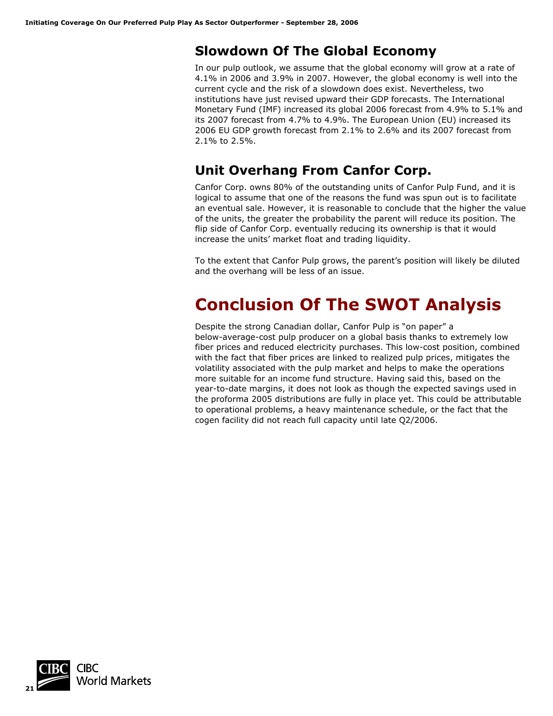## **Slowdown Of The Global Economy**

In our pulp outlook, we assume that the global economy will grow at a rate of 4.1% in 2006 and 3.9% in 2007. However, the global economy is well into the current cycle and the risk of a slowdown does exist. Nevertheless, two institutions have just revised upward their GDP forecasts. The International Monetary Fund (IMF) increased its global 2006 forecast from 4.9% to 5.1% and its 2007 forecast from 4.7% to 4.9%. The European Union (EU) increased its 2006 EU GDP growth forecast from 2.1% to 2.6% and its 2007 forecast from 2.1% to 2.5%.

## **Unit Overhang From Canfor Corp.**

Canfor Corp. owns 80% of the outstanding units of Canfor Pulp Fund, and it is logical to assume that one of the reasons the fund was spun out is to facilitate an eventual sale. However, it is reasonable to conclude that the higher the value of the units, the greater the probability the parent will reduce its position. The flip side of Canfor Corp. eventually reducing its ownership is that it would increase the units' market float and trading liquidity.

To the extent that Canfor Pulp grows, the parent's position will likely be diluted and the overhang will be less of an issue.

## **Conclusion Of The SWOT Analysis**

Despite the strong Canadian dollar, Canfor Pulp is "on paper" a below-average-cost pulp producer on a global basis thanks to extremely low fiber prices and reduced electricity purchases. This low-cost position, combined with the fact that fiber prices are linked to realized pulp prices, mitigates the volatility associated with the pulp market and helps to make the operations more suitable for an income fund structure. Having said this, based on the year-to-date margins, it does not look as though the expected savings used in the proforma 2005 distributions are fully in place yet. This could be attributable to operational problems, a heavy maintenance schedule, or the fact that the cogen facility did not reach full capacity until late Q2/2006.

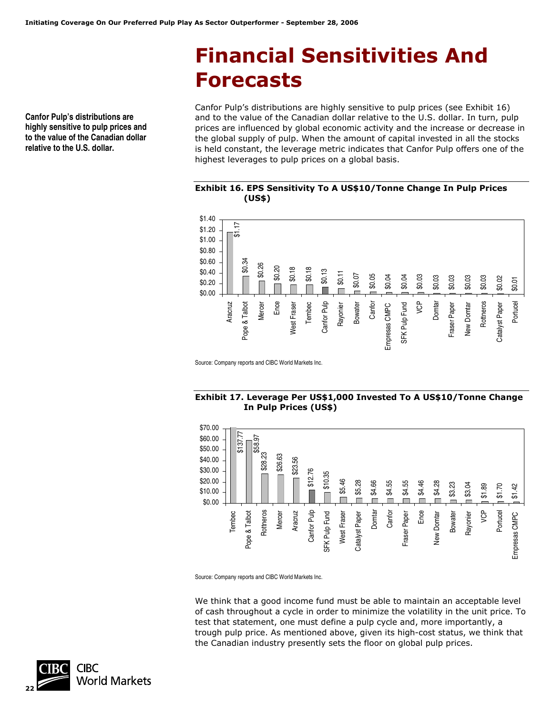# **Financial Sensitivities And Forecasts**

**Canfor Pulp's distributions are highly sensitive to pulp prices and to the value of the Canadian dollar relative to the U.S. dollar.** 

Canfor Pulp's distributions are highly sensitive to pulp prices (see Exhibit 16) and to the value of the Canadian dollar relative to the U.S. dollar. In turn, pulp prices are influenced by global economic activity and the increase or decrease in the global supply of pulp. When the amount of capital invested in all the stocks is held constant, the leverage metric indicates that Canfor Pulp offers one of the highest leverages to pulp prices on a global basis.

### **Exhibit 16. EPS Sensitivity To A US\$10/Tonne Change In Pulp Prices (US\$)**



Source: Company reports and CIBC World Markets Inc.

### **Exhibit 17. Leverage Per US\$1,000 Invested To A US\$10/Tonne Change In Pulp Prices (US\$)**



Source: Company reports and CIBC World Markets Inc.

We think that a good income fund must be able to maintain an acceptable level of cash throughout a cycle in order to minimize the volatility in the unit price. To test that statement, one must define a pulp cycle and, more importantly, a trough pulp price. As mentioned above, given its high-cost status, we think that the Canadian industry presently sets the floor on global pulp prices.

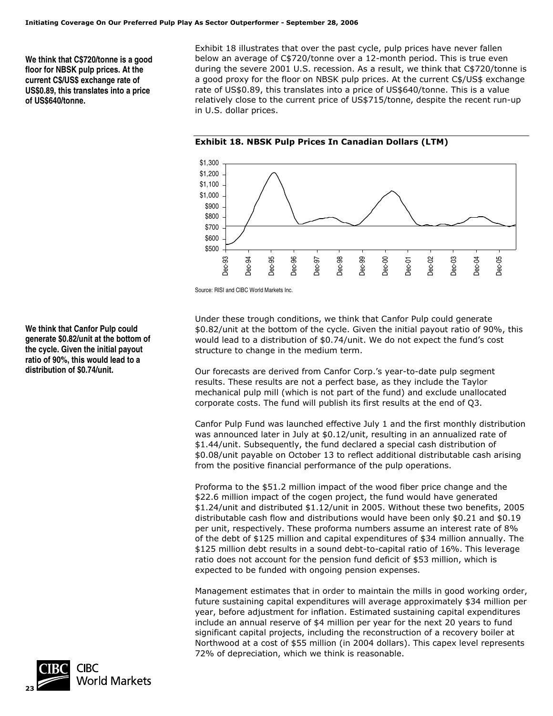**We think that C\$720/tonne is a good floor for NBSK pulp prices. At the current C\$/US\$ exchange rate of US\$0.89, this translates into a price of US\$640/tonne.** 

Exhibit 18 illustrates that over the past cycle, pulp prices have never fallen below an average of C\$720/tonne over a 12-month period. This is true even during the severe 2001 U.S. recession. As a result, we think that C\$720/tonne is a good proxy for the floor on NBSK pulp prices. At the current C\$/US\$ exchange rate of US\$0.89, this translates into a price of US\$640/tonne. This is a value relatively close to the current price of US\$715/tonne, despite the recent run-up in U.S. dollar prices.



**Exhibit 18. NBSK Pulp Prices In Canadian Dollars (LTM)** 

Source: RISI and CIBC World Markets Inc.

Under these trough conditions, we think that Canfor Pulp could generate \$0.82/unit at the bottom of the cycle. Given the initial payout ratio of 90%, this would lead to a distribution of \$0.74/unit. We do not expect the fund's cost structure to change in the medium term.

Our forecasts are derived from Canfor Corp.'s year-to-date pulp segment results. These results are not a perfect base, as they include the Taylor mechanical pulp mill (which is not part of the fund) and exclude unallocated corporate costs. The fund will publish its first results at the end of Q3.

Canfor Pulp Fund was launched effective July 1 and the first monthly distribution was announced later in July at \$0.12/unit, resulting in an annualized rate of \$1.44/unit. Subsequently, the fund declared a special cash distribution of \$0.08/unit payable on October 13 to reflect additional distributable cash arising from the positive financial performance of the pulp operations.

Proforma to the \$51.2 million impact of the wood fiber price change and the \$22.6 million impact of the cogen project, the fund would have generated \$1.24/unit and distributed \$1.12/unit in 2005. Without these two benefits, 2005 distributable cash flow and distributions would have been only \$0.21 and \$0.19 per unit, respectively. These proforma numbers assume an interest rate of 8% of the debt of \$125 million and capital expenditures of \$34 million annually. The \$125 million debt results in a sound debt-to-capital ratio of 16%. This leverage ratio does not account for the pension fund deficit of \$53 million, which is expected to be funded with ongoing pension expenses.

Management estimates that in order to maintain the mills in good working order, future sustaining capital expenditures will average approximately \$34 million per year, before adjustment for inflation. Estimated sustaining capital expenditures include an annual reserve of \$4 million per year for the next 20 years to fund significant capital projects, including the reconstruction of a recovery boiler at Northwood at a cost of \$55 million (in 2004 dollars). This capex level represents 72% of depreciation, which we think is reasonable.

**We think that Canfor Pulp could generate \$0.82/unit at the bottom of the cycle. Given the initial payout ratio of 90%, this would lead to a distribution of \$0.74/unit.** 

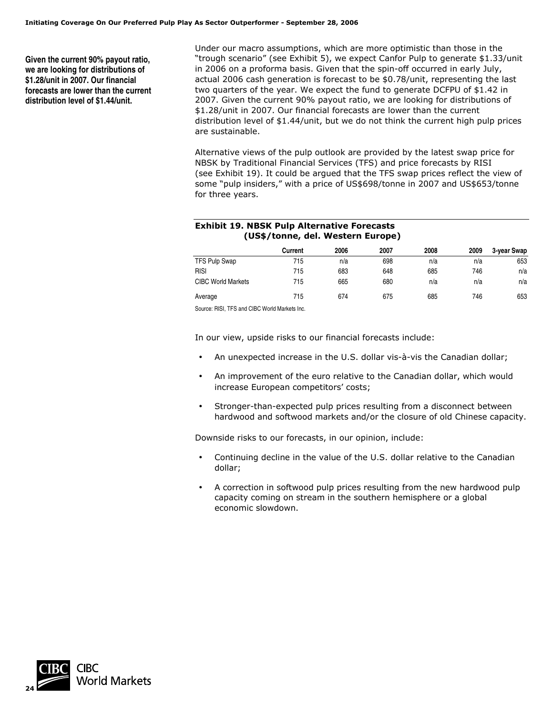**Given the current 90% payout ratio, we are looking for distributions of \$1.28/unit in 2007. Our financial forecasts are lower than the current distribution level of \$1.44/unit.**

Under our macro assumptions, which are more optimistic than those in the "trough scenario" (see Exhibit 5), we expect Canfor Pulp to generate \$1.33/unit in 2006 on a proforma basis. Given that the spin-off occurred in early July, actual 2006 cash generation is forecast to be \$0.78/unit, representing the last two quarters of the year. We expect the fund to generate DCFPU of \$1.42 in 2007. Given the current 90% payout ratio, we are looking for distributions of \$1.28/unit in 2007. Our financial forecasts are lower than the current distribution level of \$1.44/unit, but we do not think the current high pulp prices are sustainable.

Alternative views of the pulp outlook are provided by the latest swap price for NBSK by Traditional Financial Services (TFS) and price forecasts by RISI (see Exhibit 19). It could be argued that the TFS swap prices reflect the view of some "pulp insiders," with a price of US\$698/tonne in 2007 and US\$653/tonne for three years.

### **Exhibit 19. NBSK Pulp Alternative Forecasts (US\$/tonne, del. Western Europe)**

|                                              | Current | 2006 | 2007 | 2008 | 2009 | 3-year Swap |
|----------------------------------------------|---------|------|------|------|------|-------------|
| TFS Pulp Swap                                | 715     | n/a  | 698  | n/a  | n/a  | 653         |
| <b>RISI</b>                                  | 715     | 683  | 648  | 685  | 746  | n/a         |
| <b>CIBC World Markets</b>                    | 715     | 665  | 680  | n/a  | n/a  | n/a         |
| Average                                      | 715     | 674  | 675  | 685  | 746  | 653         |
| Course: DICL TEC and CIDC World Markets Inc. |         |      |      |      |      |             |

Source: RISI, TFS and CIBC World Markets Inc.

In our view, upside risks to our financial forecasts include:

- An unexpected increase in the U.S. dollar vis-à-vis the Canadian dollar;
- An improvement of the euro relative to the Canadian dollar, which would increase European competitors' costs;
- Stronger-than-expected pulp prices resulting from a disconnect between hardwood and softwood markets and/or the closure of old Chinese capacity.

Downside risks to our forecasts, in our opinion, include:

- Continuing decline in the value of the U.S. dollar relative to the Canadian dollar;
- A correction in softwood pulp prices resulting from the new hardwood pulp capacity coming on stream in the southern hemisphere or a global economic slowdown.

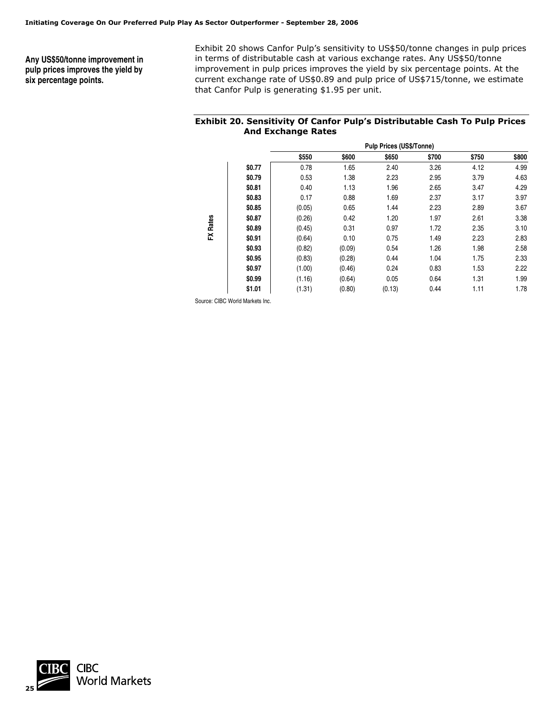**Any US\$50/tonne improvement in pulp prices improves the yield by six percentage points.** 

Exhibit 20 shows Canfor Pulp's sensitivity to US\$50/tonne changes in pulp prices in terms of distributable cash at various exchange rates. Any US\$50/tonne improvement in pulp prices improves the yield by six percentage points. At the current exchange rate of US\$0.89 and pulp price of US\$715/tonne, we estimate that Canfor Pulp is generating \$1.95 per unit.

### **Exhibit 20. Sensitivity Of Canfor Pulp's Distributable Cash To Pulp Prices And Exchange Rates**

|                 |        |        | <b>Pulp Prices (US\$/Tonne)</b> |        |       |       |       |  |
|-----------------|--------|--------|---------------------------------|--------|-------|-------|-------|--|
|                 |        | \$550  | \$600                           | \$650  | \$700 | \$750 | \$800 |  |
|                 | \$0.77 | 0.78   | 1.65                            | 2.40   | 3.26  | 4.12  | 4.99  |  |
|                 | \$0.79 | 0.53   | 1.38                            | 2.23   | 2.95  | 3.79  | 4.63  |  |
|                 | \$0.81 | 0.40   | 1.13                            | 1.96   | 2.65  | 3.47  | 4.29  |  |
|                 | \$0.83 | 0.17   | 0.88                            | 1.69   | 2.37  | 3.17  | 3.97  |  |
|                 | \$0.85 | (0.05) | 0.65                            | 1.44   | 2.23  | 2.89  | 3.67  |  |
|                 | \$0.87 | (0.26) | 0.42                            | 1.20   | 1.97  | 2.61  | 3.38  |  |
| <b>FX Rates</b> | \$0.89 | (0.45) | 0.31                            | 0.97   | 1.72  | 2.35  | 3.10  |  |
|                 | \$0.91 | (0.64) | 0.10                            | 0.75   | 1.49  | 2.23  | 2.83  |  |
|                 | \$0.93 | (0.82) | (0.09)                          | 0.54   | 1.26  | 1.98  | 2.58  |  |
|                 | \$0.95 | (0.83) | (0.28)                          | 0.44   | 1.04  | 1.75  | 2.33  |  |
|                 | \$0.97 | (1.00) | (0.46)                          | 0.24   | 0.83  | 1.53  | 2.22  |  |
|                 | \$0.99 | (1.16) | (0.64)                          | 0.05   | 0.64  | 1.31  | 1.99  |  |
|                 | \$1.01 | (1.31) | (0.80)                          | (0.13) | 0.44  | 1.11  | 1.78  |  |

Source: CIBC World Markets Inc.

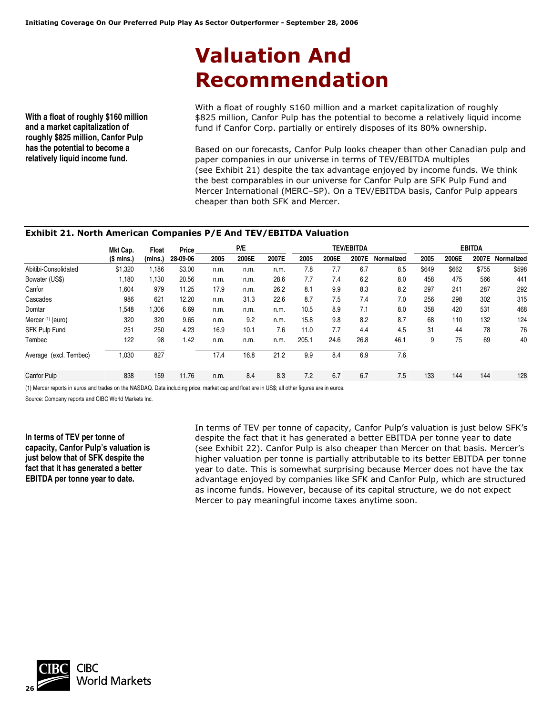# **Valuation And Recommendation**

**With a float of roughly \$160 million and a market capitalization of roughly \$825 million, Canfor Pulp has the potential to become a relatively liquid income fund.** 

With a float of roughly \$160 million and a market capitalization of roughly \$825 million, Canfor Pulp has the potential to become a relatively liquid income fund if Canfor Corp. partially or entirely disposes of its 80% ownership.

Based on our forecasts, Canfor Pulp looks cheaper than other Canadian pulp and paper companies in our universe in terms of TEV/EBITDA multiples (see Exhibit 21) despite the tax advantage enjoyed by income funds. We think the best comparables in our universe for Canfor Pulp are SFK Pulp Fund and Mercer International (MERC–SP). On a TEV/EBITDA basis, Canfor Pulp appears cheaper than both SFK and Mercer.

### **Exhibit 21. North American Companies P/E And TEV/EBITDA Valuation**

|                              | Mkt Cap.    | Float   | Price    | P/E  |       |       | <b>TEV/EBITDA</b> |       |       |            | <b>EBITDA</b> |       |       |            |
|------------------------------|-------------|---------|----------|------|-------|-------|-------------------|-------|-------|------------|---------------|-------|-------|------------|
|                              | $(S$ mlns.) | (mlns.) | 28-09-06 | 2005 | 2006E | 2007E | 2005              | 2006E | 2007E | Normalized | 2005          | 2006E | 2007E | Normalized |
| Abitibi-Consolidated         | \$1,320     | .186    | \$3.00   | n.m. | n.m.  | n.m.  | 7.8               | 7.7   | 6.7   | 8.5        | \$649         | \$662 | \$755 | \$598      |
| Bowater (US\$)               | 1,180       | 1,130   | 20.56    | n.m. | n.m.  | 28.6  | 7.7               | 7.4   | 6.2   | 8.0        | 458           | 475   | 566   | 441        |
| Canfor                       | 1,604       | 979     | 11.25    | 17.9 | n.m.  | 26.2  | 8.1               | 9.9   | 8.3   | 8.2        | 297           | 241   | 287   | 292        |
| Cascades                     | 986         | 621     | 12.20    | n.m. | 31.3  | 22.6  | 8.7               | 7.5   | 7.4   | 7.0        | 256           | 298   | 302   | 315        |
| Domtar                       | 1,548       | .306    | 6.69     | n.m. | n.m.  | n.m.  | 10.5              | 8.9   | 7.1   | 8.0        | 358           | 420   | 531   | 468        |
| Mercer <sup>(1)</sup> (euro) | 320         | 320     | 9.65     | n.m. | 9.2   | n.m.  | 15.8              | 9.8   | 8.2   | 8.7        | 68            | 110   | 132   | 124        |
| SFK Pulp Fund                | 251         | 250     | 4.23     | 16.9 | 10.1  | 7.6   | 11.0              | 7.7   | 4.4   | 4.5        | 31            | 44    | 78    | 76         |
| Tembec                       | 122         | 98      | 1.42     | n.m. | n.m.  | n.m.  | 205.1             | 24.6  | 26.8  | 46.1       | 9             | 75    | 69    | 40         |
| Average (excl. Tembec)       | 1,030       | 827     |          | 17.4 | 16.8  | 21.2  | 9.9               | 8.4   | 6.9   | 7.6        |               |       |       |            |
| <b>Canfor Pulp</b>           | 838         | 159     | 11.76    | n.m. | 8.4   | 8.3   | 7.2               | 6.7   | 6.7   | 7.5        | 133           | 144   | 144   | 128        |

(1) Mercer reports in euros and trades on the NASDAQ. Data including price, market cap and float are in US\$; all other figures are in euros.

Source: Company reports and CIBC World Markets Inc.

**In terms of TEV per tonne of capacity, Canfor Pulp's valuation is just below that of SFK despite the fact that it has generated a better EBITDA per tonne year to date.**

In terms of TEV per tonne of capacity, Canfor Pulp's valuation is just below SFK's despite the fact that it has generated a better EBITDA per tonne year to date (see Exhibit 22). Canfor Pulp is also cheaper than Mercer on that basis. Mercer's higher valuation per tonne is partially attributable to its better EBITDA per tonne year to date. This is somewhat surprising because Mercer does not have the tax advantage enjoyed by companies like SFK and Canfor Pulp, which are structured as income funds. However, because of its capital structure, we do not expect Mercer to pay meaningful income taxes anytime soon.

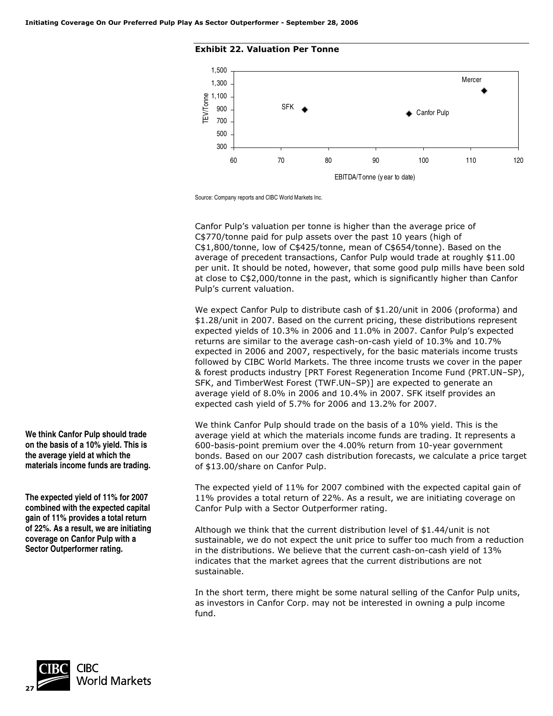### **Exhibit 22. Valuation Per Tonne**



Source: Company reports and CIBC World Markets Inc.

Canfor Pulp's valuation per tonne is higher than the average price of C\$770/tonne paid for pulp assets over the past 10 years (high of C\$1,800/tonne, low of C\$425/tonne, mean of C\$654/tonne). Based on the average of precedent transactions, Canfor Pulp would trade at roughly \$11.00 per unit. It should be noted, however, that some good pulp mills have been sold at close to C\$2,000/tonne in the past, which is significantly higher than Canfor Pulp's current valuation.

We expect Canfor Pulp to distribute cash of \$1.20/unit in 2006 (proforma) and \$1.28/unit in 2007. Based on the current pricing, these distributions represent expected yields of 10.3% in 2006 and 11.0% in 2007. Canfor Pulp's expected returns are similar to the average cash-on-cash yield of 10.3% and 10.7% expected in 2006 and 2007, respectively, for the basic materials income trusts followed by CIBC World Markets. The three income trusts we cover in the paper & forest products industry [PRT Forest Regeneration Income Fund (PRT.UN–SP), SFK, and TimberWest Forest (TWF.UN–SP)] are expected to generate an average yield of 8.0% in 2006 and 10.4% in 2007. SFK itself provides an expected cash yield of 5.7% for 2006 and 13.2% for 2007.

We think Canfor Pulp should trade on the basis of a 10% yield. This is the average yield at which the materials income funds are trading. It represents a 600-basis-point premium over the 4.00% return from 10-year government bonds. Based on our 2007 cash distribution forecasts, we calculate a price target of \$13.00/share on Canfor Pulp.

The expected yield of 11% for 2007 combined with the expected capital gain of 11% provides a total return of 22%. As a result, we are initiating coverage on Canfor Pulp with a Sector Outperformer rating.

Although we think that the current distribution level of \$1.44/unit is not sustainable, we do not expect the unit price to suffer too much from a reduction in the distributions. We believe that the current cash-on-cash yield of 13% indicates that the market agrees that the current distributions are not sustainable.

In the short term, there might be some natural selling of the Canfor Pulp units, as investors in Canfor Corp. may not be interested in owning a pulp income fund.

**We think Canfor Pulp should trade on the basis of a 10% yield. This is the average yield at which the materials income funds are trading.** 

**The expected yield of 11% for 2007 combined with the expected capital gain of 11% provides a total return of 22%. As a result, we are initiating coverage on Canfor Pulp with a Sector Outperformer rating.** 

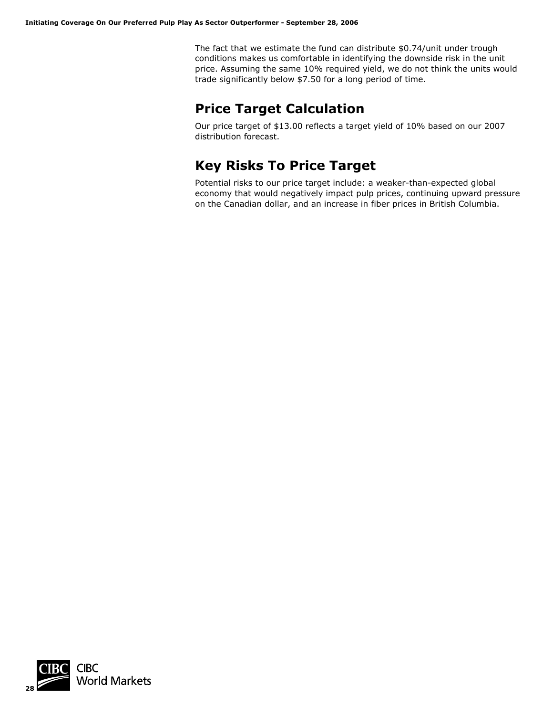The fact that we estimate the fund can distribute \$0.74/unit under trough conditions makes us comfortable in identifying the downside risk in the unit price. Assuming the same 10% required yield, we do not think the units would trade significantly below \$7.50 for a long period of time.

## **Price Target Calculation**

Our price target of \$13.00 reflects a target yield of 10% based on our 2007 distribution forecast.

## **Key Risks To Price Target**

Potential risks to our price target include: a weaker-than-expected global economy that would negatively impact pulp prices, continuing upward pressure on the Canadian dollar, and an increase in fiber prices in British Columbia.

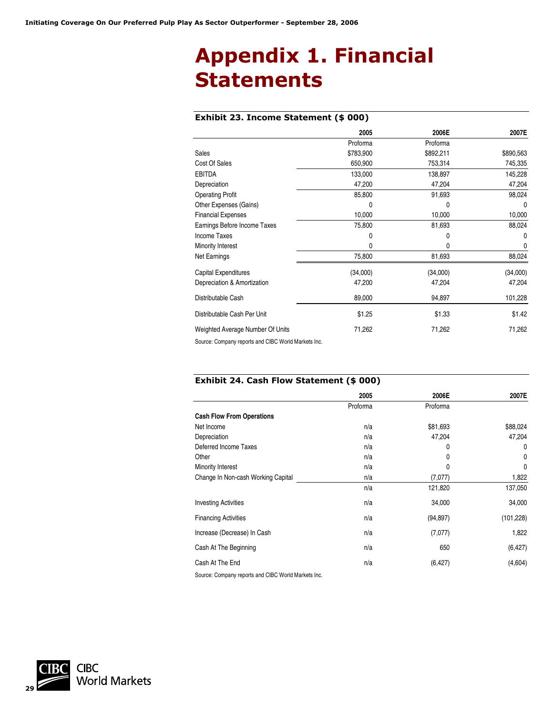# **Appendix 1. Financial Statements**

### **Exhibit 23. Income Statement (\$ 000)**

|                                  | 2005      | 2006E     | 2007E     |
|----------------------------------|-----------|-----------|-----------|
|                                  | Proforma  | Proforma  |           |
| Sales                            | \$783,900 | \$892,211 | \$890,563 |
| Cost Of Sales                    | 650,900   | 753,314   | 745,335   |
| <b>EBITDA</b>                    | 133,000   | 138,897   | 145,228   |
| Depreciation                     | 47,200    | 47,204    | 47,204    |
| <b>Operating Profit</b>          | 85,800    | 91,693    | 98,024    |
| Other Expenses (Gains)           | 0         | 0         | 0         |
| <b>Financial Expenses</b>        | 10,000    | 10,000    | 10,000    |
| Earnings Before Income Taxes     | 75,800    | 81,693    | 88,024    |
| Income Taxes                     | 0         | 0         | 0         |
| Minority Interest                | 0         | 0         | 0         |
| Net Earnings                     | 75,800    | 81,693    | 88,024    |
| Capital Expenditures             | (34,000)  | (34,000)  | (34,000)  |
| Depreciation & Amortization      | 47,200    | 47,204    | 47,204    |
| Distributable Cash               | 89,000    | 94,897    | 101,228   |
| Distributable Cash Per Unit      | \$1.25    | \$1.33    | \$1.42    |
| Weighted Average Number Of Units | 71,262    | 71,262    | 71,262    |
|                                  |           |           |           |

Source: Company reports and CIBC World Markets Inc.

### **Exhibit 24. Cash Flow Statement (\$ 000)**

|                                                     | 2005     | 2006E     | 2007E      |
|-----------------------------------------------------|----------|-----------|------------|
|                                                     | Proforma | Proforma  |            |
| <b>Cash Flow From Operations</b>                    |          |           |            |
| Net Income                                          | n/a      | \$81,693  | \$88,024   |
| Depreciation                                        | n/a      | 47,204    | 47,204     |
| Deferred Income Taxes                               | n/a      | 0         | 0          |
| Other                                               | n/a      | 0         | 0          |
| Minority Interest                                   | n/a      | 0         | 0          |
| Change In Non-cash Working Capital                  | n/a      | (7,077)   | 1,822      |
|                                                     | n/a      | 121,820   | 137,050    |
| <b>Investing Activities</b>                         | n/a      | 34,000    | 34,000     |
| <b>Financing Activities</b>                         | n/a      | (94, 897) | (101, 228) |
| Increase (Decrease) In Cash                         | n/a      | (7,077)   | 1,822      |
| Cash At The Beginning                               | n/a      | 650       | (6, 427)   |
| Cash At The End                                     | n/a      | (6, 427)  | (4,604)    |
| Source: Company reports and CIBC World Markets Inc. |          |           |            |

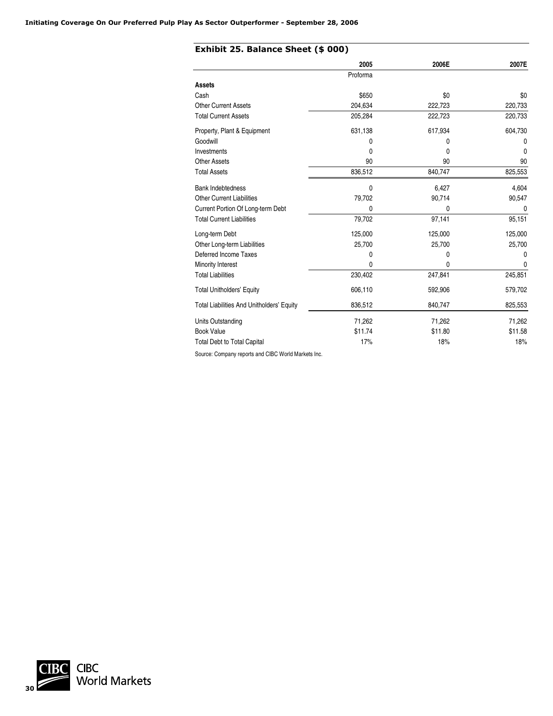|                                                     | 2005     | 2006E   | 2007E        |
|-----------------------------------------------------|----------|---------|--------------|
|                                                     | Proforma |         |              |
| Assets                                              |          |         |              |
| Cash                                                | \$650    | \$0     | \$0          |
| <b>Other Current Assets</b>                         | 204,634  | 222,723 | 220,733      |
| <b>Total Current Assets</b>                         | 205,284  | 222,723 | 220,733      |
| Property, Plant & Equipment                         | 631,138  | 617,934 | 604,730      |
| Goodwill                                            | 0        | 0       | 0            |
| Investments                                         | 0        | 0       | $\mathbf{0}$ |
| <b>Other Assets</b>                                 | 90       | 90      | 90           |
| <b>Total Assets</b>                                 | 836,512  | 840,747 | 825,553      |
| <b>Bank Indebtedness</b>                            | 0        | 6,427   | 4,604        |
| <b>Other Current Liabilities</b>                    | 79,702   | 90,714  | 90,547       |
| Current Portion Of Long-term Debt                   | 0        | 0       | 0            |
| <b>Total Current Liabilities</b>                    | 79,702   | 97,141  | 95,151       |
| Long-term Debt                                      | 125,000  | 125,000 | 125,000      |
| Other Long-term Liabilities                         | 25,700   | 25,700  | 25,700       |
| Deferred Income Taxes                               | 0        | 0       | 0            |
| Minority Interest                                   | 0        | 0       | 0            |
| <b>Total Liabilities</b>                            | 230,402  | 247,841 | 245,851      |
| <b>Total Unitholders' Equity</b>                    | 606,110  | 592,906 | 579,702      |
| <b>Total Liabilities And Unitholders' Equity</b>    | 836,512  | 840,747 | 825,553      |
| Units Outstanding                                   | 71,262   | 71,262  | 71,262       |
| <b>Book Value</b>                                   | \$11.74  | \$11.80 | \$11.58      |
| <b>Total Debt to Total Capital</b>                  | 17%      | 18%     | 18%          |
| Source: Company reports and CIBC World Markets Inc. |          |         |              |

**CIBC**<br>World Markets **30**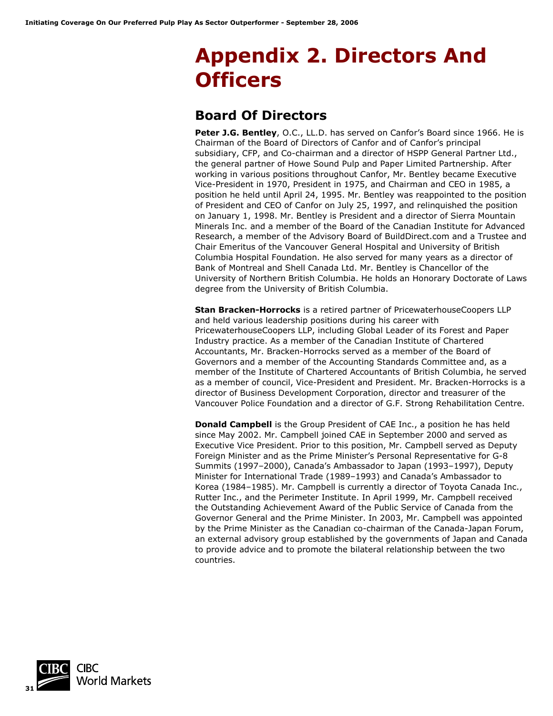# **Appendix 2. Directors And Officers**

## **Board Of Directors**

**Peter J.G. Bentley**, O.C., LL.D. has served on Canfor's Board since 1966. He is Chairman of the Board of Directors of Canfor and of Canfor's principal subsidiary, CFP, and Co-chairman and a director of HSPP General Partner Ltd., the general partner of Howe Sound Pulp and Paper Limited Partnership. After working in various positions throughout Canfor, Mr. Bentley became Executive Vice-President in 1970, President in 1975, and Chairman and CEO in 1985, a position he held until April 24, 1995. Mr. Bentley was reappointed to the position of President and CEO of Canfor on July 25, 1997, and relinquished the position on January 1, 1998. Mr. Bentley is President and a director of Sierra Mountain Minerals Inc. and a member of the Board of the Canadian Institute for Advanced Research, a member of the Advisory Board of BuildDirect.com and a Trustee and Chair Emeritus of the Vancouver General Hospital and University of British Columbia Hospital Foundation. He also served for many years as a director of Bank of Montreal and Shell Canada Ltd. Mr. Bentley is Chancellor of the University of Northern British Columbia. He holds an Honorary Doctorate of Laws degree from the University of British Columbia.

**Stan Bracken-Horrocks** is a retired partner of PricewaterhouseCoopers LLP and held various leadership positions during his career with PricewaterhouseCoopers LLP, including Global Leader of its Forest and Paper Industry practice. As a member of the Canadian Institute of Chartered Accountants, Mr. Bracken-Horrocks served as a member of the Board of Governors and a member of the Accounting Standards Committee and, as a member of the Institute of Chartered Accountants of British Columbia, he served as a member of council, Vice-President and President. Mr. Bracken-Horrocks is a director of Business Development Corporation, director and treasurer of the Vancouver Police Foundation and a director of G.F. Strong Rehabilitation Centre.

**Donald Campbell** is the Group President of CAE Inc., a position he has held since May 2002. Mr. Campbell joined CAE in September 2000 and served as Executive Vice President. Prior to this position, Mr. Campbell served as Deputy Foreign Minister and as the Prime Minister's Personal Representative for G-8 Summits (1997–2000), Canada's Ambassador to Japan (1993–1997), Deputy Minister for International Trade (1989–1993) and Canada's Ambassador to Korea (1984–1985). Mr. Campbell is currently a director of Toyota Canada Inc., Rutter Inc., and the Perimeter Institute. In April 1999, Mr. Campbell received the Outstanding Achievement Award of the Public Service of Canada from the Governor General and the Prime Minister. In 2003, Mr. Campbell was appointed by the Prime Minister as the Canadian co-chairman of the Canada-Japan Forum, an external advisory group established by the governments of Japan and Canada to provide advice and to promote the bilateral relationship between the two countries.

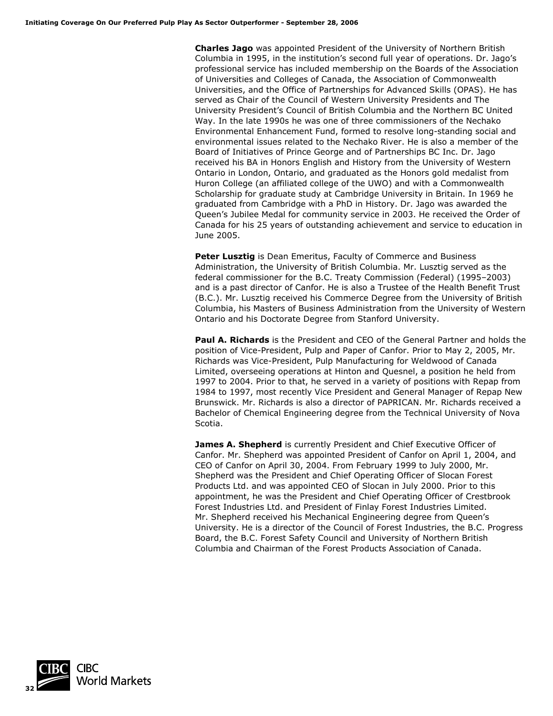**Charles Jago** was appointed President of the University of Northern British Columbia in 1995, in the institution's second full year of operations. Dr. Jago's professional service has included membership on the Boards of the Association of Universities and Colleges of Canada, the Association of Commonwealth Universities, and the Office of Partnerships for Advanced Skills (OPAS). He has served as Chair of the Council of Western University Presidents and The University President's Council of British Columbia and the Northern BC United Way. In the late 1990s he was one of three commissioners of the Nechako Environmental Enhancement Fund, formed to resolve long-standing social and environmental issues related to the Nechako River. He is also a member of the Board of Initiatives of Prince George and of Partnerships BC Inc. Dr. Jago received his BA in Honors English and History from the University of Western Ontario in London, Ontario, and graduated as the Honors gold medalist from Huron College (an affiliated college of the UWO) and with a Commonwealth Scholarship for graduate study at Cambridge University in Britain. In 1969 he graduated from Cambridge with a PhD in History. Dr. Jago was awarded the Queen's Jubilee Medal for community service in 2003. He received the Order of Canada for his 25 years of outstanding achievement and service to education in June 2005.

**Peter Lusztig** is Dean Emeritus, Faculty of Commerce and Business Administration, the University of British Columbia. Mr. Lusztig served as the federal commissioner for the B.C. Treaty Commission (Federal) (1995–2003) and is a past director of Canfor. He is also a Trustee of the Health Benefit Trust (B.C.). Mr. Lusztig received his Commerce Degree from the University of British Columbia, his Masters of Business Administration from the University of Western Ontario and his Doctorate Degree from Stanford University.

**Paul A. Richards** is the President and CEO of the General Partner and holds the position of Vice-President, Pulp and Paper of Canfor. Prior to May 2, 2005, Mr. Richards was Vice-President, Pulp Manufacturing for Weldwood of Canada Limited, overseeing operations at Hinton and Quesnel, a position he held from 1997 to 2004. Prior to that, he served in a variety of positions with Repap from 1984 to 1997, most recently Vice President and General Manager of Repap New Brunswick. Mr. Richards is also a director of PAPRICAN. Mr. Richards received a Bachelor of Chemical Engineering degree from the Technical University of Nova Scotia.

**James A. Shepherd** is currently President and Chief Executive Officer of Canfor. Mr. Shepherd was appointed President of Canfor on April 1, 2004, and CEO of Canfor on April 30, 2004. From February 1999 to July 2000, Mr. Shepherd was the President and Chief Operating Officer of Slocan Forest Products Ltd. and was appointed CEO of Slocan in July 2000. Prior to this appointment, he was the President and Chief Operating Officer of Crestbrook Forest Industries Ltd. and President of Finlay Forest Industries Limited. Mr. Shepherd received his Mechanical Engineering degree from Queen's University. He is a director of the Council of Forest Industries, the B.C. Progress Board, the B.C. Forest Safety Council and University of Northern British Columbia and Chairman of the Forest Products Association of Canada.

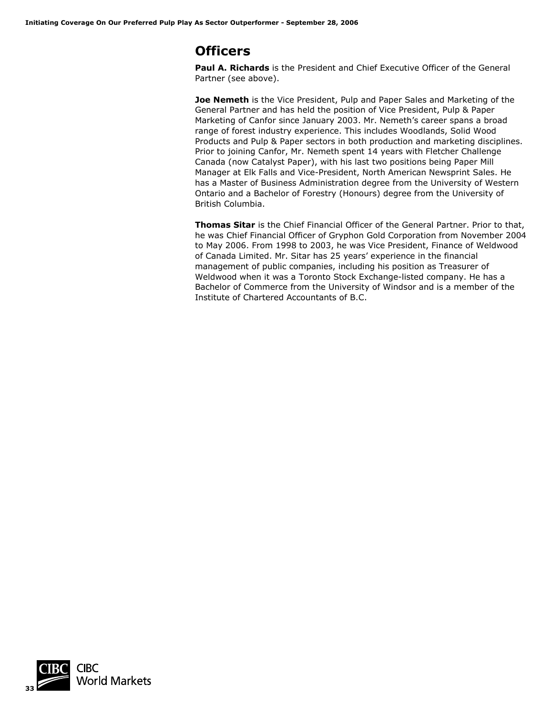## **Officers**

**Paul A. Richards** is the President and Chief Executive Officer of the General Partner (see above).

**Joe Nemeth** is the Vice President, Pulp and Paper Sales and Marketing of the General Partner and has held the position of Vice President, Pulp & Paper Marketing of Canfor since January 2003. Mr. Nemeth's career spans a broad range of forest industry experience. This includes Woodlands, Solid Wood Products and Pulp & Paper sectors in both production and marketing disciplines. Prior to joining Canfor, Mr. Nemeth spent 14 years with Fletcher Challenge Canada (now Catalyst Paper), with his last two positions being Paper Mill Manager at Elk Falls and Vice-President, North American Newsprint Sales. He has a Master of Business Administration degree from the University of Western Ontario and a Bachelor of Forestry (Honours) degree from the University of British Columbia.

**Thomas Sitar** is the Chief Financial Officer of the General Partner. Prior to that, he was Chief Financial Officer of Gryphon Gold Corporation from November 2004 to May 2006. From 1998 to 2003, he was Vice President, Finance of Weldwood of Canada Limited. Mr. Sitar has 25 years' experience in the financial management of public companies, including his position as Treasurer of Weldwood when it was a Toronto Stock Exchange-listed company. He has a Bachelor of Commerce from the University of Windsor and is a member of the Institute of Chartered Accountants of B.C.

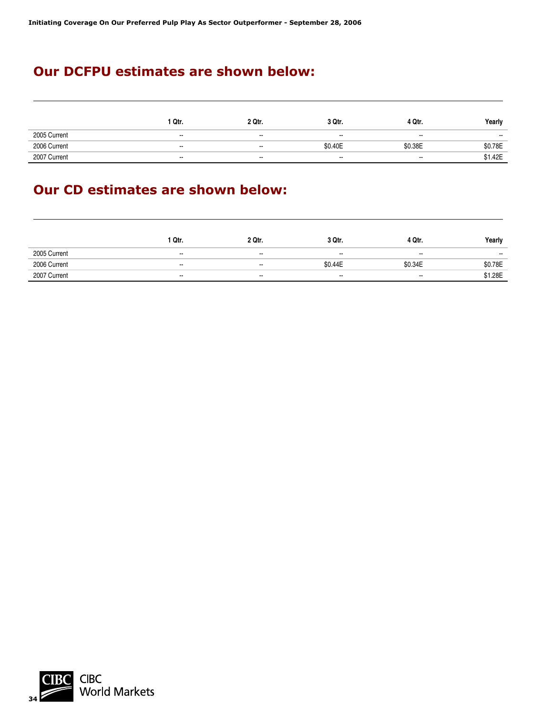## **Our DCFPU estimates are shown below:**

|              | Qtr.   | 2 Qtr. | 3 Qtr.  | 4 Qtr.  | Yearly  |
|--------------|--------|--------|---------|---------|---------|
| 2005 Current | $\sim$ | $\sim$ | $\sim$  | $\sim$  | $\sim$  |
| 2006 Current | $\sim$ | $\sim$ | \$0.40E | \$0.38E | \$0.78E |
| 2007 Current | $\sim$ | $\sim$ | $\sim$  | $\sim$  | \$1.42E |

## **Our CD estimates are shown below:**

|              | <sup>1</sup> Qtr.        | 2 Qtr.                   | 3 Qtr.  | 4 Qtr.  | Yearly  |
|--------------|--------------------------|--------------------------|---------|---------|---------|
| 2005 Current | $\overline{\phantom{a}}$ | $\sim$                   | $\sim$  | $\sim$  | $\sim$  |
| 2006 Current | $\overline{\phantom{a}}$ | $\sim$                   | \$0.44E | \$0.34E | \$0.78E |
| 2007 Current | $\sim$                   | $\overline{\phantom{a}}$ | $\sim$  | $\sim$  | \$1.28E |

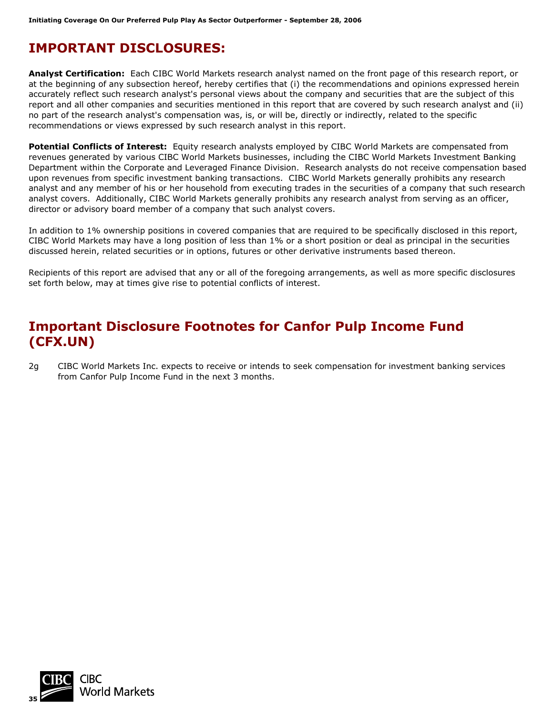## **IMPORTANT DISCLOSURES:**

**Analyst Certification:** Each CIBC World Markets research analyst named on the front page of this research report, or at the beginning of any subsection hereof, hereby certifies that (i) the recommendations and opinions expressed herein accurately reflect such research analyst's personal views about the company and securities that are the subject of this report and all other companies and securities mentioned in this report that are covered by such research analyst and (ii) no part of the research analyst's compensation was, is, or will be, directly or indirectly, related to the specific recommendations or views expressed by such research analyst in this report.

**Potential Conflicts of Interest:** Equity research analysts employed by CIBC World Markets are compensated from revenues generated by various CIBC World Markets businesses, including the CIBC World Markets Investment Banking Department within the Corporate and Leveraged Finance Division. Research analysts do not receive compensation based upon revenues from specific investment banking transactions. CIBC World Markets generally prohibits any research analyst and any member of his or her household from executing trades in the securities of a company that such research analyst covers. Additionally, CIBC World Markets generally prohibits any research analyst from serving as an officer, director or advisory board member of a company that such analyst covers.

In addition to 1% ownership positions in covered companies that are required to be specifically disclosed in this report, CIBC World Markets may have a long position of less than 1% or a short position or deal as principal in the securities discussed herein, related securities or in options, futures or other derivative instruments based thereon.

Recipients of this report are advised that any or all of the foregoing arrangements, as well as more specific disclosures set forth below, may at times give rise to potential conflicts of interest.

## **Important Disclosure Footnotes for Canfor Pulp Income Fund (CFX.UN)**

2g CIBC World Markets Inc. expects to receive or intends to seek compensation for investment banking services from Canfor Pulp Income Fund in the next 3 months.

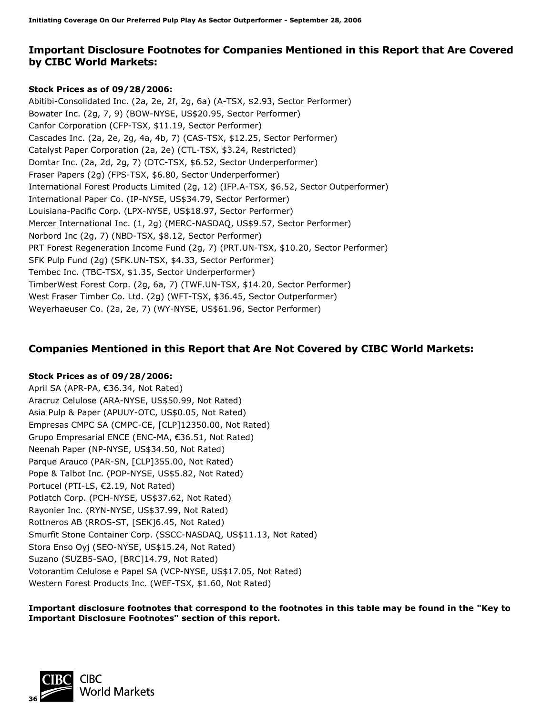### **Important Disclosure Footnotes for Companies Mentioned in this Report that Are Covered by CIBC World Markets:**

### **Stock Prices as of 09/28/2006:**

Abitibi-Consolidated Inc. (2a, 2e, 2f, 2g, 6a) (A-TSX, \$2.93, Sector Performer) Bowater Inc. (2g, 7, 9) (BOW-NYSE, US\$20.95, Sector Performer) Canfor Corporation (CFP-TSX, \$11.19, Sector Performer) Cascades Inc. (2a, 2e, 2g, 4a, 4b, 7) (CAS-TSX, \$12.25, Sector Performer) Catalyst Paper Corporation (2a, 2e) (CTL-TSX, \$3.24, Restricted) Domtar Inc. (2a, 2d, 2g, 7) (DTC-TSX, \$6.52, Sector Underperformer) Fraser Papers (2g) (FPS-TSX, \$6.80, Sector Underperformer) International Forest Products Limited (2g, 12) (IFP.A-TSX, \$6.52, Sector Outperformer) International Paper Co. (IP-NYSE, US\$34.79, Sector Performer) Louisiana-Pacific Corp. (LPX-NYSE, US\$18.97, Sector Performer) Mercer International Inc. (1, 2g) (MERC-NASDAQ, US\$9.57, Sector Performer) Norbord Inc (2g, 7) (NBD-TSX, \$8.12, Sector Performer) PRT Forest Regeneration Income Fund (2g, 7) (PRT.UN-TSX, \$10.20, Sector Performer) SFK Pulp Fund (2g) (SFK.UN-TSX, \$4.33, Sector Performer) Tembec Inc. (TBC-TSX, \$1.35, Sector Underperformer) TimberWest Forest Corp. (2g, 6a, 7) (TWF.UN-TSX, \$14.20, Sector Performer) West Fraser Timber Co. Ltd. (2g) (WFT-TSX, \$36.45, Sector Outperformer) Weyerhaeuser Co. (2a, 2e, 7) (WY-NYSE, US\$61.96, Sector Performer)

### **Companies Mentioned in this Report that Are Not Covered by CIBC World Markets:**

### **Stock Prices as of 09/28/2006:**

April SA (APR-PA, €36.34, Not Rated) Aracruz Celulose (ARA-NYSE, US\$50.99, Not Rated) Asia Pulp & Paper (APUUY-OTC, US\$0.05, Not Rated) Empresas CMPC SA (CMPC-CE, [CLP]12350.00, Not Rated) Grupo Empresarial ENCE (ENC-MA, €36.51, Not Rated) Neenah Paper (NP-NYSE, US\$34.50, Not Rated) Parque Arauco (PAR-SN, [CLP]355.00, Not Rated) Pope & Talbot Inc. (POP-NYSE, US\$5.82, Not Rated) Portucel (PTI-LS, €2.19, Not Rated) Potlatch Corp. (PCH-NYSE, US\$37.62, Not Rated) Rayonier Inc. (RYN-NYSE, US\$37.99, Not Rated) Rottneros AB (RROS-ST, [SEK]6.45, Not Rated) Smurfit Stone Container Corp. (SSCC-NASDAQ, US\$11.13, Not Rated) Stora Enso Oyj (SEO-NYSE, US\$15.24, Not Rated) Suzano (SUZB5-SAO, [BRC]14.79, Not Rated) Votorantim Celulose e Papel SA (VCP-NYSE, US\$17.05, Not Rated) Western Forest Products Inc. (WEF-TSX, \$1.60, Not Rated)

**Important disclosure footnotes that correspond to the footnotes in this table may be found in the "Key to Important Disclosure Footnotes" section of this report.** 

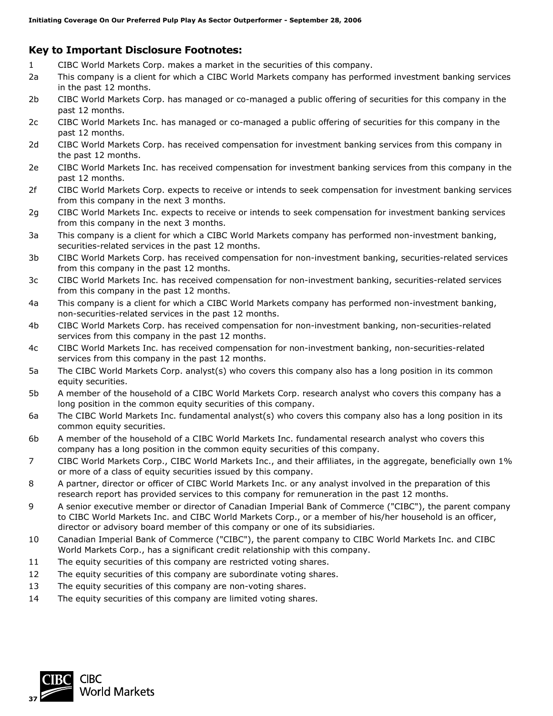### **Key to Important Disclosure Footnotes:**

- 1 CIBC World Markets Corp. makes a market in the securities of this company.
- 2a This company is a client for which a CIBC World Markets company has performed investment banking services in the past 12 months.
- 2b CIBC World Markets Corp. has managed or co-managed a public offering of securities for this company in the past 12 months.
- 2c CIBC World Markets Inc. has managed or co-managed a public offering of securities for this company in the past 12 months.
- 2d CIBC World Markets Corp. has received compensation for investment banking services from this company in the past 12 months.
- 2e CIBC World Markets Inc. has received compensation for investment banking services from this company in the past 12 months.
- 2f CIBC World Markets Corp. expects to receive or intends to seek compensation for investment banking services from this company in the next 3 months.
- 2g CIBC World Markets Inc. expects to receive or intends to seek compensation for investment banking services from this company in the next 3 months.
- 3a This company is a client for which a CIBC World Markets company has performed non-investment banking, securities-related services in the past 12 months.
- 3b CIBC World Markets Corp. has received compensation for non-investment banking, securities-related services from this company in the past 12 months.
- 3c CIBC World Markets Inc. has received compensation for non-investment banking, securities-related services from this company in the past 12 months.
- 4a This company is a client for which a CIBC World Markets company has performed non-investment banking, non-securities-related services in the past 12 months.
- 4b CIBC World Markets Corp. has received compensation for non-investment banking, non-securities-related services from this company in the past 12 months.
- 4c CIBC World Markets Inc. has received compensation for non-investment banking, non-securities-related services from this company in the past 12 months.
- 5a The CIBC World Markets Corp. analyst(s) who covers this company also has a long position in its common equity securities.
- 5b A member of the household of a CIBC World Markets Corp. research analyst who covers this company has a long position in the common equity securities of this company.
- 6a The CIBC World Markets Inc. fundamental analyst(s) who covers this company also has a long position in its common equity securities.
- 6b A member of the household of a CIBC World Markets Inc. fundamental research analyst who covers this company has a long position in the common equity securities of this company.
- 7 CIBC World Markets Corp., CIBC World Markets Inc., and their affiliates, in the aggregate, beneficially own 1% or more of a class of equity securities issued by this company.
- 8 A partner, director or officer of CIBC World Markets Inc. or any analyst involved in the preparation of this research report has provided services to this company for remuneration in the past 12 months.
- 9 A senior executive member or director of Canadian Imperial Bank of Commerce ("CIBC"), the parent company to CIBC World Markets Inc. and CIBC World Markets Corp., or a member of his/her household is an officer, director or advisory board member of this company or one of its subsidiaries.
- 10 Canadian Imperial Bank of Commerce ("CIBC"), the parent company to CIBC World Markets Inc. and CIBC World Markets Corp., has a significant credit relationship with this company.
- 11 The equity securities of this company are restricted voting shares.
- 12 The equity securities of this company are subordinate voting shares.
- 13 The equity securities of this company are non-voting shares.
- 14 The equity securities of this company are limited voting shares.

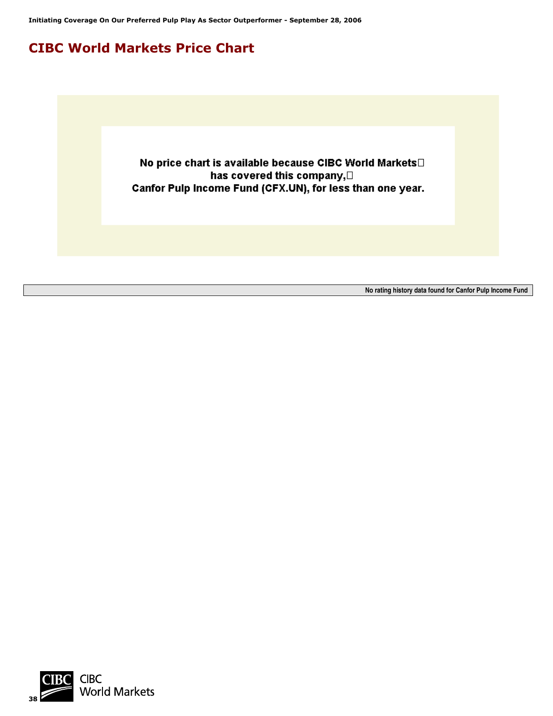**Initiating Coverage On Our Preferred Pulp Play As Sector Outperformer - September 28, 2006**

## **CIBC World Markets Price Chart**

No price chart is available because CIBC World Markets has covered this company, [] Canfor Pulp Income Fund (CFX.UN), for less than one year.

**No rating history data found for Canfor Pulp Income Fund**

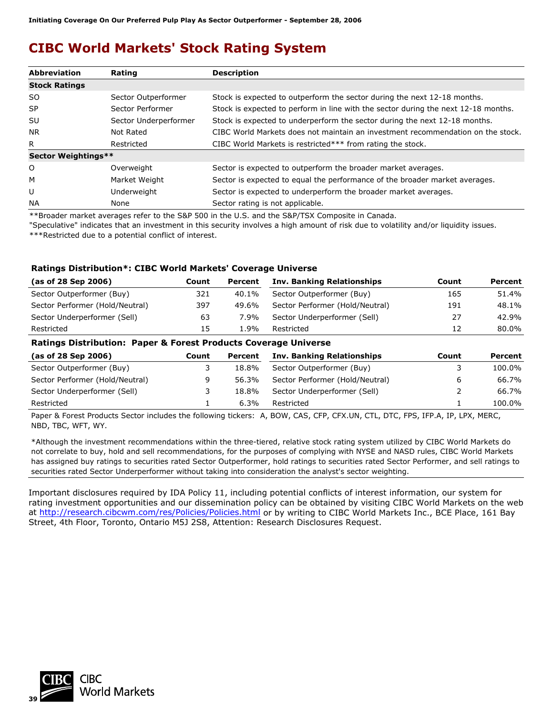## **CIBC World Markets' Stock Rating System**

| <b>Abbreviation</b>  | Rating                | <b>Description</b>                                                                 |
|----------------------|-----------------------|------------------------------------------------------------------------------------|
| <b>Stock Ratings</b> |                       |                                                                                    |
| SO.                  | Sector Outperformer   | Stock is expected to outperform the sector during the next 12-18 months.           |
| <b>SP</b>            | Sector Performer      | Stock is expected to perform in line with the sector during the next 12-18 months. |
| SU                   | Sector Underperformer | Stock is expected to underperform the sector during the next 12-18 months.         |
| NR.                  | Not Rated             | CIBC World Markets does not maintain an investment recommendation on the stock.    |
| R.                   | Restricted            | CIBC World Markets is restricted*** from rating the stock.                         |
| Sector Weightings**  |                       |                                                                                    |
| O                    | Overweight            | Sector is expected to outperform the broader market averages.                      |
| М                    | Market Weight         | Sector is expected to equal the performance of the broader market averages.        |
| U                    | Underweight           | Sector is expected to underperform the broader market averages.                    |
| <b>NA</b>            | None                  | Sector rating is not applicable.                                                   |

\*\*Broader market averages refer to the S&P 500 in the U.S. and the S&P/TSX Composite in Canada.

"Speculative" indicates that an investment in this security involves a high amount of risk due to volatility and/or liquidity issues. \*\*\*Restricted due to a potential conflict of interest.

### **Ratings Distribution\*: CIBC World Markets' Coverage Universe**

| (as of 28 Sep 2006)             | Count | Percent | <b>Inv. Banking Relationships</b> | Count | Percent |
|---------------------------------|-------|---------|-----------------------------------|-------|---------|
| Sector Outperformer (Buy)       | 321   | 40.1%   | Sector Outperformer (Buy)         | 165   | 51.4%   |
| Sector Performer (Hold/Neutral) | 397   | 49.6%   | Sector Performer (Hold/Neutral)   | 191   | 48.1%   |
| Sector Underperformer (Sell)    | 63    | 7.9%    | Sector Underperformer (Sell)      | 27    | 42.9%   |
| Restricted                      | 15    | 1.9%    | Restricted                        | 12    | 80.0%   |
| _ _<br>_ _ _ _ _ _              |       |         |                                   |       |         |

#### **Ratings Distribution: Paper & Forest Products Coverage Universe**

| (as of 28 Sep 2006)             | Count | Percent | <b>Inv. Banking Relationships</b> | Count | Percent |
|---------------------------------|-------|---------|-----------------------------------|-------|---------|
| Sector Outperformer (Buy)       |       | 18.8%   | Sector Outperformer (Buy)         |       | 100.0%  |
| Sector Performer (Hold/Neutral) |       | 56.3%   | Sector Performer (Hold/Neutral)   | b     | 66.7%   |
| Sector Underperformer (Sell)    |       | 18.8%   | Sector Underperformer (Sell)      |       | 66.7%   |
| Restricted                      |       | $6.3\%$ | Restricted                        |       | 100.0%  |

Paper & Forest Products Sector includes the following tickers: A, BOW, CAS, CFP, CFX.UN, CTL, DTC, FPS, IFP.A, IP, LPX, MERC, NBD, TBC, WFT, WY.

\*Although the investment recommendations within the three-tiered, relative stock rating system utilized by CIBC World Markets do not correlate to buy, hold and sell recommendations, for the purposes of complying with NYSE and NASD rules, CIBC World Markets has assigned buy ratings to securities rated Sector Outperformer, hold ratings to securities rated Sector Performer, and sell ratings to securities rated Sector Underperformer without taking into consideration the analyst's sector weighting.

Important disclosures required by IDA Policy 11, including potential conflicts of interest information, our system for rating investment opportunities and our dissemination policy can be obtained by visiting CIBC World Markets on the web at <http://research.cibcwm.com/res/Policies/Policies.html> or by writing to CIBC World Markets Inc., BCE Place, 161 Bay Street, 4th Floor, Toronto, Ontario M5J 2S8, Attention: Research Disclosures Request.